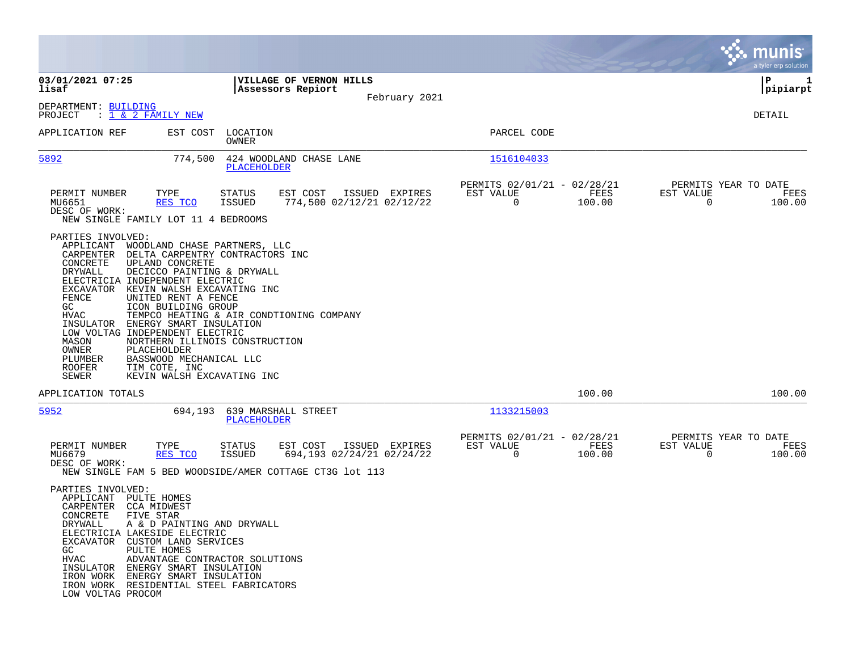|                                                                                                                                                                                                                                                                                                                                                                                                                                                                                                                                                                                                                |                                                                                                                                               |                                                                           | munis<br>a tyler erp solution                                   |
|----------------------------------------------------------------------------------------------------------------------------------------------------------------------------------------------------------------------------------------------------------------------------------------------------------------------------------------------------------------------------------------------------------------------------------------------------------------------------------------------------------------------------------------------------------------------------------------------------------------|-----------------------------------------------------------------------------------------------------------------------------------------------|---------------------------------------------------------------------------|-----------------------------------------------------------------|
| 03/01/2021 07:25<br>lisaf                                                                                                                                                                                                                                                                                                                                                                                                                                                                                                                                                                                      | <b>VILLAGE OF VERNON HILLS</b><br>Assessors Repiort                                                                                           |                                                                           | IΡ<br>1<br> pipiarpt                                            |
| DEPARTMENT: BUILDING<br>: 1 & 2 FAMILY NEW<br>PROJECT                                                                                                                                                                                                                                                                                                                                                                                                                                                                                                                                                          | February 2021                                                                                                                                 |                                                                           | DETAIL                                                          |
| APPLICATION REF<br>EST COST                                                                                                                                                                                                                                                                                                                                                                                                                                                                                                                                                                                    | LOCATION<br>OWNER                                                                                                                             | PARCEL CODE                                                               |                                                                 |
| 5892<br>774,500                                                                                                                                                                                                                                                                                                                                                                                                                                                                                                                                                                                                | 424 WOODLAND CHASE LANE<br><b>PLACEHOLDER</b>                                                                                                 | 1516104033                                                                |                                                                 |
| PERMIT NUMBER<br>TYPE<br>MU6651<br>RES TCO<br>DESC OF WORK:<br>NEW SINGLE FAMILY LOT 11 4 BEDROOMS                                                                                                                                                                                                                                                                                                                                                                                                                                                                                                             | STATUS<br>EST COST<br>ISSUED EXPIRES<br>774,500 02/12/21 02/12/22<br><b>ISSUED</b>                                                            | PERMITS 02/01/21 - 02/28/21<br>EST VALUE<br>FEES<br>$\mathbf 0$<br>100.00 | PERMITS YEAR TO DATE<br>EST VALUE<br>FEES<br>$\Omega$<br>100.00 |
| PARTIES INVOLVED:<br>APPLICANT<br>WOODLAND CHASE PARTNERS, LLC<br>CARPENTER<br>DELTA CARPENTRY CONTRACTORS INC<br>CONCRETE<br>UPLAND CONCRETE<br><b>DRYWALL</b><br>DECICCO PAINTING & DRYWALL<br>ELECTRICIA INDEPENDENT ELECTRIC<br>EXCAVATOR<br>KEVIN WALSH EXCAVATING INC<br>FENCE<br>UNITED RENT A FENCE<br>GC.<br>ICON BUILDING GROUP<br>HVAC<br>INSULATOR<br>ENERGY SMART INSULATION<br>LOW VOLTAG INDEPENDENT ELECTRIC<br>MASON<br>NORTHERN ILLINOIS CONSTRUCTION<br>OWNER<br>PLACEHOLDER<br>BASSWOOD MECHANICAL LLC<br>PLUMBER<br>ROOFER<br>TIM COTE, INC<br><b>SEWER</b><br>KEVIN WALSH EXCAVATING INC | TEMPCO HEATING & AIR CONDTIONING COMPANY                                                                                                      |                                                                           |                                                                 |
| APPLICATION TOTALS                                                                                                                                                                                                                                                                                                                                                                                                                                                                                                                                                                                             |                                                                                                                                               | 100.00                                                                    | 100.00                                                          |
| 5952<br>694,193                                                                                                                                                                                                                                                                                                                                                                                                                                                                                                                                                                                                | 639 MARSHALL STREET<br><b>PLACEHOLDER</b>                                                                                                     | 1133215003                                                                |                                                                 |
| PERMIT NUMBER<br>TYPE<br>MU6679<br>RES TCO<br>DESC OF WORK:                                                                                                                                                                                                                                                                                                                                                                                                                                                                                                                                                    | <b>STATUS</b><br>EST COST<br>ISSUED EXPIRES<br>694,193 02/24/21 02/24/22<br>ISSUED<br>NEW SINGLE FAM 5 BED WOODSIDE/AMER COTTAGE CT3G lot 113 | PERMITS 02/01/21 - 02/28/21<br>FEES<br>EST VALUE<br>$\mathbf 0$<br>100.00 | PERMITS YEAR TO DATE<br>EST VALUE<br>FEES<br>0<br>100.00        |
| PARTIES INVOLVED:<br>APPLICANT PULTE HOMES<br>CARPENTER<br><b>CCA MIDWEST</b><br>CONCRETE<br>FIVE STAR<br>DRYWALL<br>A & D PAINTING AND DRYWALL<br>ELECTRICIA LAKESIDE ELECTRIC<br>EXCAVATOR CUSTOM LAND SERVICES<br>PULTE HOMES<br>GC<br>ADVANTAGE CONTRACTOR SOLUTIONS<br><b>HVAC</b><br>INSULATOR ENERGY SMART INSULATION<br>IRON WORK ENERGY SMART INSULATION<br>IRON WORK RESIDENTIAL STEEL FABRICATORS<br>LOW VOLTAG PROCOM                                                                                                                                                                              |                                                                                                                                               |                                                                           |                                                                 |

**Contract**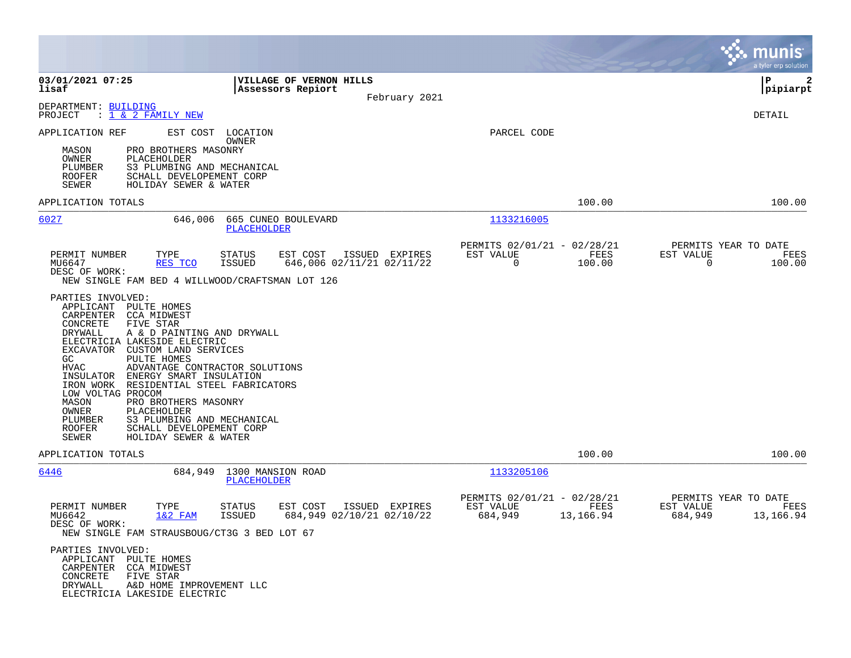|                                                                                                                                                                                                                                                                                                                                                                                                                                                                                                                                                                                                                               |                                                                                           |                                                                          | munis<br>a tyler erp solution                                     |
|-------------------------------------------------------------------------------------------------------------------------------------------------------------------------------------------------------------------------------------------------------------------------------------------------------------------------------------------------------------------------------------------------------------------------------------------------------------------------------------------------------------------------------------------------------------------------------------------------------------------------------|-------------------------------------------------------------------------------------------|--------------------------------------------------------------------------|-------------------------------------------------------------------|
| 03/01/2021 07:25<br>lisaf                                                                                                                                                                                                                                                                                                                                                                                                                                                                                                                                                                                                     | VILLAGE OF VERNON HILLS<br>Assessors Repiort<br>February 2021                             |                                                                          | l P<br>$\mathbf{2}$<br> pipiarpt                                  |
| DEPARTMENT: BUILDING<br>: <u>1 &amp; 2 FAMILY NEW</u><br>PROJECT                                                                                                                                                                                                                                                                                                                                                                                                                                                                                                                                                              |                                                                                           |                                                                          | DETAIL                                                            |
| APPLICATION REF<br>EST COST<br>PRO BROTHERS MASONRY<br>MASON<br>OWNER<br>PLACEHOLDER<br>S3 PLUMBING AND MECHANICAL<br>PLUMBER<br>SCHALL DEVELOPEMENT CORP<br><b>ROOFER</b><br>HOLIDAY SEWER & WATER<br>SEWER                                                                                                                                                                                                                                                                                                                                                                                                                  | LOCATION<br><b>OWNER</b>                                                                  | PARCEL CODE                                                              |                                                                   |
| APPLICATION TOTALS                                                                                                                                                                                                                                                                                                                                                                                                                                                                                                                                                                                                            |                                                                                           | 100.00                                                                   | 100.00                                                            |
| 6027<br>646,006                                                                                                                                                                                                                                                                                                                                                                                                                                                                                                                                                                                                               | 665 CUNEO BOULEVARD<br><b>PLACEHOLDER</b>                                                 | 1133216005                                                               |                                                                   |
| PERMIT NUMBER<br>TYPE<br>MU6647<br>RES TCO<br>DESC OF WORK:<br>NEW SINGLE FAM BED 4 WILLWOOD/CRAFTSMAN LOT 126<br>PARTIES INVOLVED:<br>APPLICANT PULTE HOMES<br>CARPENTER<br><b>CCA MIDWEST</b><br>CONCRETE<br>FIVE STAR<br><b>DRYWALL</b><br>A & D PAINTING AND DRYWALL<br>ELECTRICIA LAKESIDE ELECTRIC<br>EXCAVATOR CUSTOM LAND SERVICES<br>GC<br>PULTE HOMES<br><b>HVAC</b><br>ADVANTAGE CONTRACTOR SOLUTIONS<br>INSULATOR<br>ENERGY SMART INSULATION<br>IRON WORK<br>RESIDENTIAL STEEL FABRICATORS<br>LOW VOLTAG PROCOM<br>MASON<br>PRO BROTHERS MASONRY<br>OWNER<br>PLACEHOLDER<br>S3 PLUMBING AND MECHANICAL<br>PLUMBER | EST COST<br>ISSUED EXPIRES<br>STATUS<br>646,006 02/11/21 02/11/22<br>ISSUED               | PERMITS 02/01/21 - 02/28/21<br>EST VALUE<br>FEES<br>$\Omega$<br>100.00   | PERMITS YEAR TO DATE<br>EST VALUE<br>FEES<br>$\Omega$<br>100.00   |
| <b>ROOFER</b><br>SCHALL DEVELOPEMENT CORP<br>SEWER<br>HOLIDAY SEWER & WATER                                                                                                                                                                                                                                                                                                                                                                                                                                                                                                                                                   |                                                                                           |                                                                          |                                                                   |
| APPLICATION TOTALS                                                                                                                                                                                                                                                                                                                                                                                                                                                                                                                                                                                                            |                                                                                           | 100.00                                                                   | 100.00                                                            |
| 6446<br>684,949                                                                                                                                                                                                                                                                                                                                                                                                                                                                                                                                                                                                               | 1300 MANSION ROAD<br>PLACEHOLDER                                                          | 1133205106                                                               |                                                                   |
| PERMIT NUMBER<br>TYPE<br>MU6642<br>$1&2$ FAM<br>DESC OF WORK:<br>NEW SINGLE FAM STRAUSBOUG/CT3G 3 BED LOT 67                                                                                                                                                                                                                                                                                                                                                                                                                                                                                                                  | <b>STATUS</b><br>EST COST<br>ISSUED EXPIRES<br><b>ISSUED</b><br>684,949 02/10/21 02/10/22 | PERMITS 02/01/21 - 02/28/21<br>EST VALUE<br>FEES<br>13,166.94<br>684,949 | PERMITS YEAR TO DATE<br>EST VALUE<br>FEES<br>684,949<br>13,166.94 |
| PARTIES INVOLVED:<br>APPLICANT PULTE HOMES<br>CARPENTER<br>CCA MIDWEST<br>CONCRETE<br>FIVE STAR<br>DRYWALL<br>A&D HOME IMPROVEMENT LLC<br>ELECTRICIA LAKESIDE ELECTRIC                                                                                                                                                                                                                                                                                                                                                                                                                                                        |                                                                                           |                                                                          |                                                                   |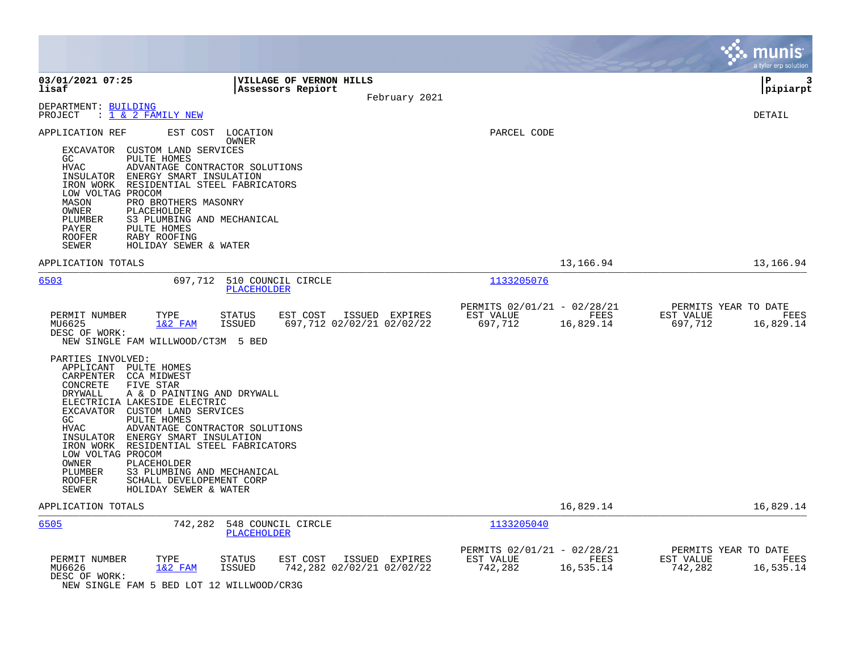|                                                                                                                                                                                                                                                                                                                                                                                                                                                                                                  |                                                                                 |                                                     |                   | munis<br>a tyler erp solution                                     |
|--------------------------------------------------------------------------------------------------------------------------------------------------------------------------------------------------------------------------------------------------------------------------------------------------------------------------------------------------------------------------------------------------------------------------------------------------------------------------------------------------|---------------------------------------------------------------------------------|-----------------------------------------------------|-------------------|-------------------------------------------------------------------|
| 03/01/2021 07:25<br>lisaf                                                                                                                                                                                                                                                                                                                                                                                                                                                                        | <b>VILLAGE OF VERNON HILLS</b><br>Assessors Repiort<br>February 2021            |                                                     |                   | lР<br>3<br> pipiarpt                                              |
| DEPARTMENT: BUILDING<br>PROJECT<br>: 1 & 2 FAMILY NEW                                                                                                                                                                                                                                                                                                                                                                                                                                            |                                                                                 |                                                     |                   | DETAIL                                                            |
| APPLICATION REF<br>EXCAVATOR CUSTOM LAND SERVICES<br>GC<br>PULTE HOMES<br>HVAC<br>INSULATOR ENERGY SMART INSULATION<br>IRON WORK RESIDENTIAL STEEL FABRICATORS<br>LOW VOLTAG PROCOM<br>MASON<br>PRO BROTHERS MASONRY<br>OWNER<br>PLACEHOLDER<br>S3 PLUMBING AND MECHANICAL<br>PLUMBER<br>PAYER<br>PULTE HOMES<br><b>ROOFER</b><br>RABY ROOFING<br>SEWER<br>HOLIDAY SEWER & WATER                                                                                                                 | EST COST LOCATION<br>OWNER<br>ADVANTAGE CONTRACTOR SOLUTIONS                    | PARCEL CODE                                         |                   |                                                                   |
| APPLICATION TOTALS                                                                                                                                                                                                                                                                                                                                                                                                                                                                               |                                                                                 |                                                     | 13,166.94         | 13,166.94                                                         |
| 6503                                                                                                                                                                                                                                                                                                                                                                                                                                                                                             | 697,712 510 COUNCIL CIRCLE<br><b>PLACEHOLDER</b>                                | 1133205076                                          |                   |                                                                   |
| PERMIT NUMBER<br>TYPE<br>MU6625<br>$1&2$ FAM<br>DESC OF WORK:<br>NEW SINGLE FAM WILLWOOD/CT3M 5 BED                                                                                                                                                                                                                                                                                                                                                                                              | EST COST ISSUED EXPIRES<br>STATUS<br><b>ISSUED</b><br>697,712 02/02/21 02/02/22 | PERMITS 02/01/21 - 02/28/21<br>EST VALUE<br>697,712 | FEES<br>16,829.14 | PERMITS YEAR TO DATE<br>EST VALUE<br>FEES<br>697,712<br>16,829.14 |
| PARTIES INVOLVED:<br>APPLICANT PULTE HOMES<br>CARPENTER CCA MIDWEST<br>CONCRETE<br>FIVE STAR<br>DRYWALL<br>A & D PAINTING AND DRYWALL<br>ELECTRICIA LAKESIDE ELECTRIC<br>EXCAVATOR CUSTOM LAND SERVICES<br>PULTE HOMES<br>GC<br><b>HVAC</b><br>INSULATOR ENERGY SMART INSULATION<br>IRON WORK RESIDENTIAL STEEL FABRICATORS<br>LOW VOLTAG PROCOM<br><b>OWNER</b><br>PLACEHOLDER<br>PLUMBER<br>S3 PLUMBING AND MECHANICAL<br>ROOFER<br>SCHALL DEVELOPEMENT CORP<br>SEWER<br>HOLIDAY SEWER & WATER | ADVANTAGE CONTRACTOR SOLUTIONS                                                  |                                                     |                   |                                                                   |
| APPLICATION TOTALS                                                                                                                                                                                                                                                                                                                                                                                                                                                                               |                                                                                 |                                                     | 16,829.14         | 16,829.14                                                         |
| 6505<br>742,282                                                                                                                                                                                                                                                                                                                                                                                                                                                                                  | 548 COUNCIL CIRCLE<br><b>PLACEHOLDER</b>                                        | 1133205040                                          |                   |                                                                   |
| PERMIT NUMBER<br>TYPE<br>MU6626<br>$1&2$ FAM<br>DESC OF WORK:                                                                                                                                                                                                                                                                                                                                                                                                                                    | EST COST<br>ISSUED EXPIRES<br>STATUS<br>742,282 02/02/21 02/02/22<br>ISSUED     | PERMITS 02/01/21 - 02/28/21<br>EST VALUE<br>742,282 | FEES<br>16,535.14 | PERMITS YEAR TO DATE<br>EST VALUE<br>FEES<br>742,282<br>16,535.14 |

NEW SINGLE FAM 5 BED LOT 12 WILLWOOD/CR3G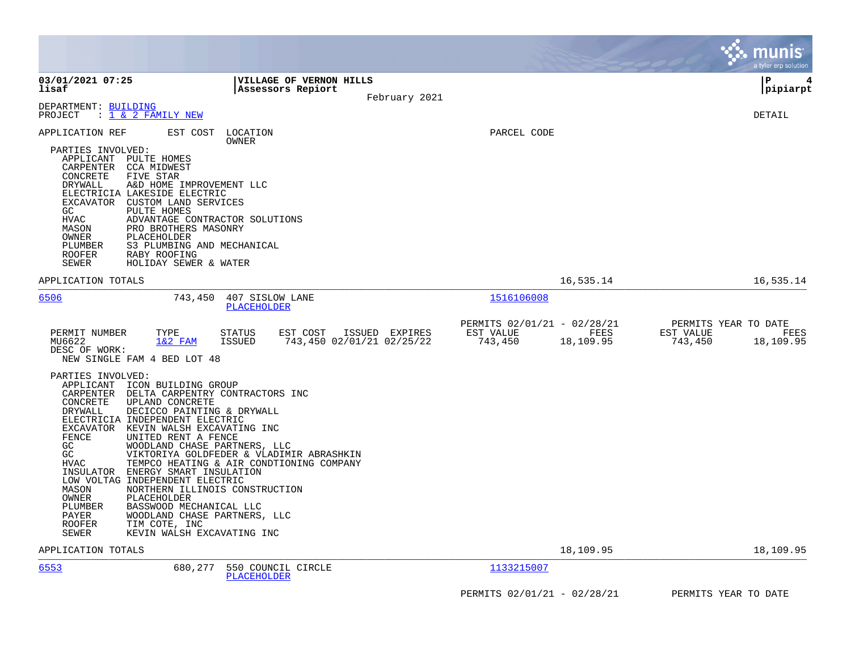|                                                                                                                                                                                                                                                                                                                                                                                                                                                                                          |                                                                                                                                                                                                                           |                                                                          | munis<br>a tyler erp solution                                     |
|------------------------------------------------------------------------------------------------------------------------------------------------------------------------------------------------------------------------------------------------------------------------------------------------------------------------------------------------------------------------------------------------------------------------------------------------------------------------------------------|---------------------------------------------------------------------------------------------------------------------------------------------------------------------------------------------------------------------------|--------------------------------------------------------------------------|-------------------------------------------------------------------|
| 03/01/2021 07:25<br>lisaf                                                                                                                                                                                                                                                                                                                                                                                                                                                                | <b>VILLAGE OF VERNON HILLS</b><br>Assessors Repiort<br>February 2021                                                                                                                                                      |                                                                          | ΙP<br>4<br> pipiarpt                                              |
| DEPARTMENT: BUILDING<br>: 1 & 2 FAMILY NEW<br>PROJECT                                                                                                                                                                                                                                                                                                                                                                                                                                    |                                                                                                                                                                                                                           |                                                                          | <b>DETAIL</b>                                                     |
| EST COST<br>APPLICATION REF<br>PARTIES INVOLVED:<br>APPLICANT PULTE HOMES<br>CARPENTER<br>CCA MIDWEST<br>CONCRETE<br>FIVE STAR<br>DRYWALL<br>A&D HOME IMPROVEMENT LLC<br>ELECTRICIA LAKESIDE ELECTRIC<br>EXCAVATOR CUSTOM LAND SERVICES<br>GC.<br>PULTE HOMES<br>HVAC<br>MASON<br>PRO BROTHERS MASONRY<br>OWNER<br>PLACEHOLDER<br>PLUMBER<br>S3 PLUMBING AND MECHANICAL<br>ROOFER<br>RABY ROOFING<br>SEWER<br>HOLIDAY SEWER & WATER                                                      | LOCATION<br>OWNER<br>ADVANTAGE CONTRACTOR SOLUTIONS                                                                                                                                                                       | PARCEL CODE                                                              |                                                                   |
| APPLICATION TOTALS                                                                                                                                                                                                                                                                                                                                                                                                                                                                       |                                                                                                                                                                                                                           | 16,535.14                                                                | 16,535.14                                                         |
| 6506<br>743,450                                                                                                                                                                                                                                                                                                                                                                                                                                                                          | 407 SISLOW LANE<br>PLACEHOLDER                                                                                                                                                                                            | 1516106008                                                               |                                                                   |
| TYPE<br>PERMIT NUMBER<br>$1&2$ FAM<br>MU6622<br>DESC OF WORK:<br>NEW SINGLE FAM 4 BED LOT 48<br>PARTIES INVOLVED:                                                                                                                                                                                                                                                                                                                                                                        | <b>STATUS</b><br>EST COST<br>ISSUED EXPIRES<br>743,450 02/01/21 02/25/22<br>ISSUED                                                                                                                                        | PERMITS 02/01/21 - 02/28/21<br>EST VALUE<br>FEES<br>743,450<br>18,109.95 | PERMITS YEAR TO DATE<br>EST VALUE<br>FEES<br>743,450<br>18,109.95 |
| APPLICANT<br>ICON BUILDING GROUP<br>CARPENTER<br>CONCRETE<br>UPLAND CONCRETE<br>DRYWALL<br>DECICCO PAINTING & DRYWALL<br>ELECTRICIA INDEPENDENT ELECTRIC<br>EXCAVATOR KEVIN WALSH EXCAVATING INC<br>FENCE<br>UNITED RENT A FENCE<br>GC<br>GC<br><b>HVAC</b><br>ENERGY SMART INSULATION<br>INSULATOR<br>LOW VOLTAG INDEPENDENT ELECTRIC<br>MASON<br>OWNER<br>PLACEHOLDER<br>PLUMBER<br>BASSWOOD MECHANICAL LLC<br>PAYER<br>TIM COTE, INC<br>ROOFER<br>KEVIN WALSH EXCAVATING INC<br>SEWER | DELTA CARPENTRY CONTRACTORS INC<br>WOODLAND CHASE PARTNERS, LLC<br>VIKTORIYA GOLDFEDER & VLADIMIR ABRASHKIN<br>TEMPCO HEATING & AIR CONDTIONING COMPANY<br>NORTHERN ILLINOIS CONSTRUCTION<br>WOODLAND CHASE PARTNERS, LLC |                                                                          |                                                                   |
| APPLICATION TOTALS                                                                                                                                                                                                                                                                                                                                                                                                                                                                       |                                                                                                                                                                                                                           | 18,109.95                                                                | 18,109.95                                                         |
| 6553<br>680,277                                                                                                                                                                                                                                                                                                                                                                                                                                                                          | 550 COUNCIL CIRCLE<br>PLACEHOLDER                                                                                                                                                                                         | 1133215007                                                               |                                                                   |
|                                                                                                                                                                                                                                                                                                                                                                                                                                                                                          |                                                                                                                                                                                                                           | PERMITS 02/01/21 - 02/28/21                                              | PERMITS YEAR TO DATE                                              |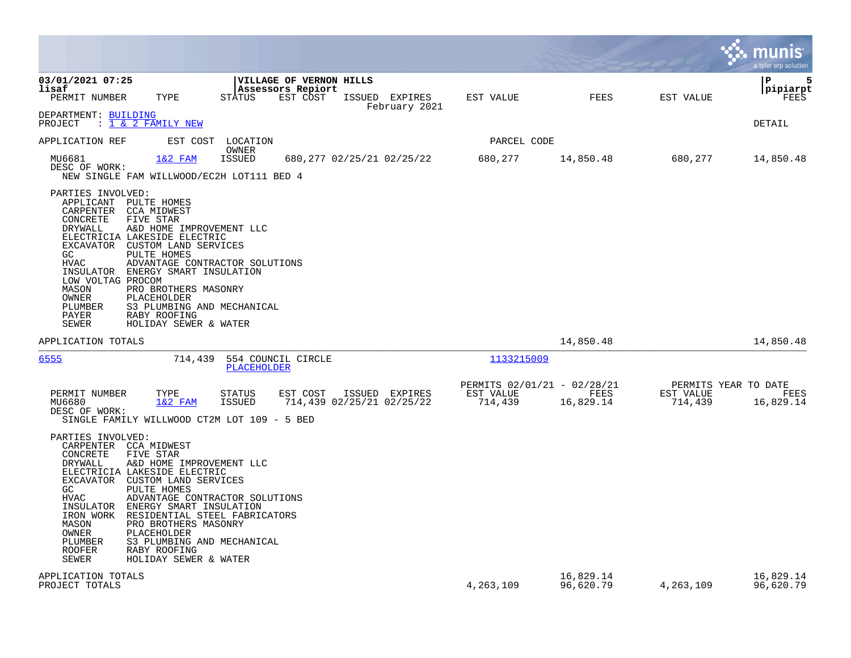|                                                                                                                                                                                             |                                                                                                                                                                                                                                                                                                                                    |                        |                                                          |                                             |                                                     |                        |                                              | munis<br>a tyler erp solution |
|---------------------------------------------------------------------------------------------------------------------------------------------------------------------------------------------|------------------------------------------------------------------------------------------------------------------------------------------------------------------------------------------------------------------------------------------------------------------------------------------------------------------------------------|------------------------|----------------------------------------------------------|---------------------------------------------|-----------------------------------------------------|------------------------|----------------------------------------------|-------------------------------|
| 03/01/2021 07:25<br>lisaf<br>PERMIT NUMBER                                                                                                                                                  | TYPE                                                                                                                                                                                                                                                                                                                               | STATUS                 | VILLAGE OF VERNON HILLS<br>Assessors Repiort<br>EST COST | ISSUED EXPIRES                              | EST VALUE                                           | <b>FEES</b>            | EST VALUE                                    | 5<br>l P<br> pipiarpt<br>FEES |
| DEPARTMENT: BUILDING<br>PROJECT : 1 & 2 FAMILY NEW                                                                                                                                          |                                                                                                                                                                                                                                                                                                                                    |                        |                                                          | February 2021                               |                                                     |                        |                                              | <b>DETAIL</b>                 |
| APPLICATION REF                                                                                                                                                                             | EST COST                                                                                                                                                                                                                                                                                                                           | LOCATION               |                                                          |                                             | PARCEL CODE                                         |                        |                                              |                               |
| MU6681<br>DESC OF WORK:                                                                                                                                                                     | $1&2$ FAM<br>NEW SINGLE FAM WILLWOOD/EC2H LOT111 BED 4                                                                                                                                                                                                                                                                             | OWNER<br><b>ISSUED</b> |                                                          | 680,277 02/25/21 02/25/22                   | 680,277                                             | 14,850.48              | 680,277                                      | 14,850.48                     |
| PARTIES INVOLVED:<br>APPLICANT PULTE HOMES<br>CARPENTER CCA MIDWEST<br>CONCRETE<br><b>DRYWALL</b><br>GC.<br>HVAC<br>LOW VOLTAG PROCOM<br>MASON<br>OWNER<br>PLUMBER<br>PAYER<br><b>SEWER</b> | FIVE STAR<br>A&D HOME IMPROVEMENT LLC<br>ELECTRICIA LAKESIDE ELECTRIC<br>EXCAVATOR CUSTOM LAND SERVICES<br>PULTE HOMES<br>ADVANTAGE CONTRACTOR SOLUTIONS<br>INSULATOR ENERGY SMART INSULATION<br>PRO BROTHERS MASONRY<br>PLACEHOLDER<br>S3 PLUMBING AND MECHANICAL<br>RABY ROOFING<br>HOLIDAY SEWER & WATER                        |                        |                                                          |                                             |                                                     |                        |                                              |                               |
| APPLICATION TOTALS                                                                                                                                                                          |                                                                                                                                                                                                                                                                                                                                    |                        |                                                          |                                             |                                                     | 14,850.48              |                                              | 14,850.48                     |
| 6555                                                                                                                                                                                        | 714,439                                                                                                                                                                                                                                                                                                                            | PLACEHOLDER            | 554 COUNCIL CIRCLE                                       |                                             | 1133215009                                          |                        |                                              |                               |
| PERMIT NUMBER<br>MU6680<br>DESC OF WORK:                                                                                                                                                    | TYPE<br>1&2 FAM<br>SINGLE FAMILY WILLWOOD CT2M LOT 109 - 5 BED                                                                                                                                                                                                                                                                     | STATUS<br>ISSUED       | EST COST                                                 | ISSUED EXPIRES<br>714,439 02/25/21 02/25/22 | PERMITS 02/01/21 - 02/28/21<br>EST VALUE<br>714,439 | FEES<br>16,829.14      | PERMITS YEAR TO DATE<br>EST VALUE<br>714,439 | FEES<br>16,829.14             |
| PARTIES INVOLVED:<br>CARPENTER CCA MIDWEST<br>CONCRETE<br>DRYWALL<br>GC.<br><b>HVAC</b><br>INSULATOR<br>IRON WORK<br>MASON<br>OWNER<br>PLUMBER<br><b>ROOFER</b><br>SEWER                    | FIVE STAR<br>A&D HOME IMPROVEMENT LLC<br>ELECTRICIA LAKESIDE ELECTRIC<br>EXCAVATOR CUSTOM LAND SERVICES<br>PULTE HOMES<br>ADVANTAGE CONTRACTOR SOLUTIONS<br>ENERGY SMART INSULATION<br>RESIDENTIAL STEEL FABRICATORS<br>PRO BROTHERS MASONRY<br>PLACEHOLDER<br>S3 PLUMBING AND MECHANICAL<br>RABY ROOFING<br>HOLIDAY SEWER & WATER |                        |                                                          |                                             |                                                     |                        |                                              |                               |
| APPLICATION TOTALS<br>PROJECT TOTALS                                                                                                                                                        |                                                                                                                                                                                                                                                                                                                                    |                        |                                                          |                                             | 4,263,109                                           | 16,829.14<br>96,620.79 | 4,263,109                                    | 16,829.14<br>96,620.79        |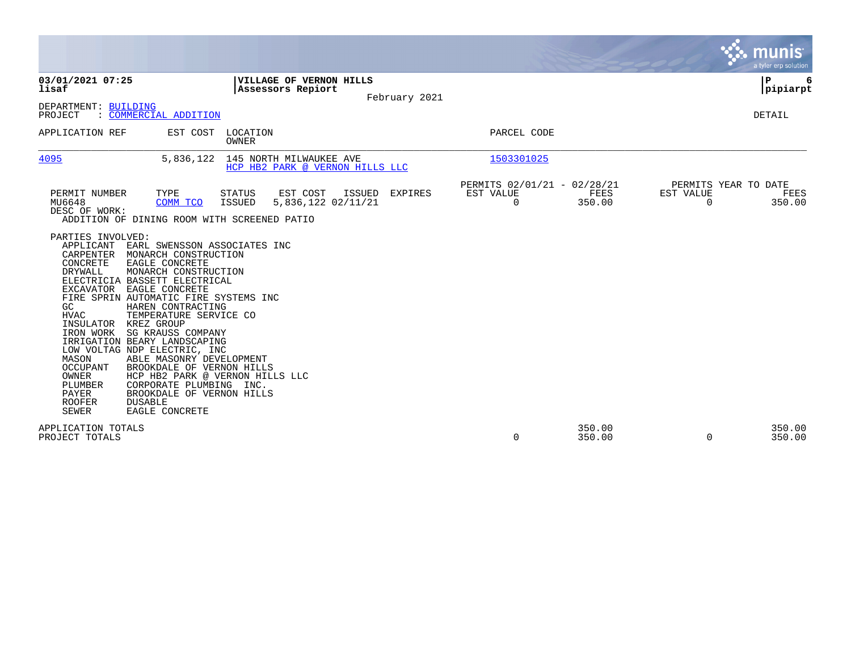|                                                                                                                                                                                                                                 |                                                                                                                                                                                                                                                                                                                                                                                                                                                                                                                                             |                         |                                                            |               |                                               |                  |                       |                      | <b>munis</b><br>a tyler erp solution |
|---------------------------------------------------------------------------------------------------------------------------------------------------------------------------------------------------------------------------------|---------------------------------------------------------------------------------------------------------------------------------------------------------------------------------------------------------------------------------------------------------------------------------------------------------------------------------------------------------------------------------------------------------------------------------------------------------------------------------------------------------------------------------------------|-------------------------|------------------------------------------------------------|---------------|-----------------------------------------------|------------------|-----------------------|----------------------|--------------------------------------|
| 03/01/2021 07:25<br>lisaf                                                                                                                                                                                                       |                                                                                                                                                                                                                                                                                                                                                                                                                                                                                                                                             |                         | VILLAGE OF VERNON HILLS<br>Assessors Repiort               | February 2021 |                                               |                  |                       | ∣P                   | 6<br> pipiarpt                       |
| DEPARTMENT: BUILDING<br>PROJECT                                                                                                                                                                                                 | : COMMERCIAL ADDITION                                                                                                                                                                                                                                                                                                                                                                                                                                                                                                                       |                         |                                                            |               |                                               |                  |                       | <b>DETAIL</b>        |                                      |
| APPLICATION REF                                                                                                                                                                                                                 | EST COST LOCATION                                                                                                                                                                                                                                                                                                                                                                                                                                                                                                                           | <b>OWNER</b>            |                                                            |               | PARCEL CODE                                   |                  |                       |                      |                                      |
| 4095                                                                                                                                                                                                                            | 5,836,122                                                                                                                                                                                                                                                                                                                                                                                                                                                                                                                                   |                         | 145 NORTH MILWAUKEE AVE<br>HCP HB2 PARK @ VERNON HILLS LLC |               | 1503301025                                    |                  |                       |                      |                                      |
| PERMIT NUMBER<br>MU6648<br>DESC OF WORK:                                                                                                                                                                                        | TYPE<br>COMM TCO<br>ADDITION OF DINING ROOM WITH SCREENED PATIO                                                                                                                                                                                                                                                                                                                                                                                                                                                                             | <b>STATUS</b><br>ISSUED | EST COST<br>ISSUED<br>5,836,122 02/11/21                   | EXPIRES       | PERMITS 02/01/21 - 02/28/21<br>EST VALUE<br>0 | FEES<br>350.00   | EST VALUE<br>$\Omega$ | PERMITS YEAR TO DATE | FEES<br>350.00                       |
| PARTIES INVOLVED:<br>APPLICANT<br>CARPENTER<br>CONCRETE<br>DRYWALL<br>EXCAVATOR<br>GC<br><b>HVAC</b><br>INSULATOR<br>IRON WORK<br>MASON<br><b>OCCUPANT</b><br>OWNER<br>PLUMBER<br><b>PAYER</b><br><b>ROOFER</b><br><b>SEWER</b> | EARL SWENSSON ASSOCIATES INC<br>MONARCH CONSTRUCTION<br>EAGLE CONCRETE<br>MONARCH CONSTRUCTION<br>ELECTRICIA BASSETT ELECTRICAL<br><b>EAGLE CONCRETE</b><br>FIRE SPRIN AUTOMATIC FIRE SYSTEMS INC<br>HAREN CONTRACTING<br>TEMPERATURE SERVICE CO<br>KREZ GROUP<br>SG KRAUSS COMPANY<br>IRRIGATION BEARY LANDSCAPING<br>LOW VOLTAG NDP ELECTRIC, INC<br>ABLE MASONRY DEVELOPMENT<br>BROOKDALE OF VERNON HILLS<br>HCP HB2 PARK @ VERNON HILLS LLC<br>CORPORATE PLUMBING INC.<br>BROOKDALE OF VERNON HILLS<br><b>DUSABLE</b><br>EAGLE CONCRETE |                         |                                                            |               |                                               |                  |                       |                      |                                      |
| APPLICATION TOTALS<br>PROJECT TOTALS                                                                                                                                                                                            |                                                                                                                                                                                                                                                                                                                                                                                                                                                                                                                                             |                         |                                                            |               | 0                                             | 350.00<br>350.00 | 0                     |                      | 350.00<br>350.00                     |

**Contract**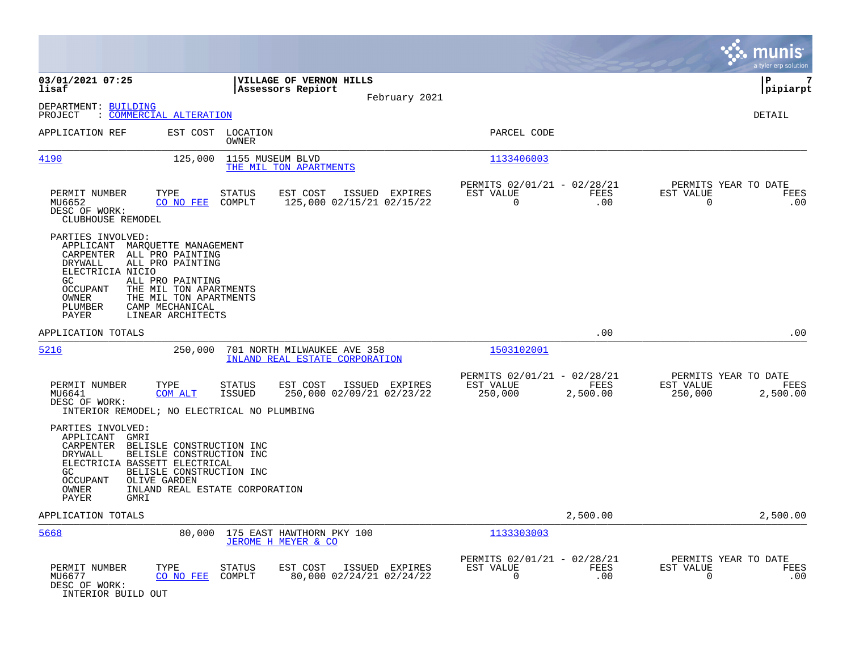|                                                                                                                                                                                                                                                                                                                         |                                                                                           |                                                                         | munis<br>a tyler erp solution                                    |
|-------------------------------------------------------------------------------------------------------------------------------------------------------------------------------------------------------------------------------------------------------------------------------------------------------------------------|-------------------------------------------------------------------------------------------|-------------------------------------------------------------------------|------------------------------------------------------------------|
| 03/01/2021 07:25<br>lisaf                                                                                                                                                                                                                                                                                               | <b>VILLAGE OF VERNON HILLS</b><br>Assessors Repiort                                       |                                                                         | ΙP<br>7<br> pipiarpt                                             |
| DEPARTMENT: BUILDING<br>: COMMERCIAL ALTERATION<br>PROJECT                                                                                                                                                                                                                                                              | February 2021                                                                             |                                                                         | DETAIL                                                           |
| APPLICATION REF                                                                                                                                                                                                                                                                                                         | EST COST LOCATION<br>OWNER                                                                | PARCEL CODE                                                             |                                                                  |
| 4190<br>125,000                                                                                                                                                                                                                                                                                                         | 1155 MUSEUM BLVD<br>THE MIL TON APARTMENTS                                                | 1133406003                                                              |                                                                  |
| PERMIT NUMBER<br>TYPE<br>MU6652<br>CO NO FEE<br>DESC OF WORK:<br>CLUBHOUSE REMODEL                                                                                                                                                                                                                                      | EST COST<br><b>STATUS</b><br>ISSUED EXPIRES<br>125,000 02/15/21 02/15/22<br>COMPLT        | PERMITS 02/01/21 - 02/28/21<br>EST VALUE<br>FEES<br>$\mathbf 0$<br>.00  | PERMITS YEAR TO DATE<br>EST VALUE<br>FEES<br>0<br>.00            |
| PARTIES INVOLVED:<br>APPLICANT<br>MARQUETTE MANAGEMENT<br>CARPENTER<br>ALL PRO PAINTING<br><b>DRYWALL</b><br>ALL PRO PAINTING<br>ELECTRICIA NICIO<br>GC<br>ALL PRO PAINTING<br>THE MIL TON APARTMENTS<br><b>OCCUPANT</b><br>THE MIL TON APARTMENTS<br>OWNER<br>PLUMBER<br>CAMP MECHANICAL<br>LINEAR ARCHITECTS<br>PAYER |                                                                                           |                                                                         |                                                                  |
| APPLICATION TOTALS                                                                                                                                                                                                                                                                                                      |                                                                                           | .00                                                                     | .00                                                              |
| 5216<br>250,000                                                                                                                                                                                                                                                                                                         | 701 NORTH MILWAUKEE AVE 358<br>INLAND REAL ESTATE CORPORATION                             | 1503102001                                                              |                                                                  |
| PERMIT NUMBER<br>TYPE<br><b>COM ALT</b><br>MU6641<br>DESC OF WORK:<br>INTERIOR REMODEL; NO ELECTRICAL NO PLUMBING                                                                                                                                                                                                       | <b>STATUS</b><br>EST COST<br>ISSUED EXPIRES<br><b>ISSUED</b><br>250,000 02/09/21 02/23/22 | PERMITS 02/01/21 - 02/28/21<br>EST VALUE<br>FEES<br>250,000<br>2,500.00 | PERMITS YEAR TO DATE<br>EST VALUE<br>FEES<br>250,000<br>2,500.00 |
| PARTIES INVOLVED:<br>APPLICANT GMRI<br>CARPENTER BELISLE CONSTRUCTION INC<br>DRYWALL<br>BELISLE CONSTRUCTION INC<br>ELECTRICIA BASSETT ELECTRICAL<br>BELISLE CONSTRUCTION INC<br>GC<br><b>OCCUPANT</b><br>OLIVE GARDEN<br>OWNER<br>PAYER<br><b>GMRI</b>                                                                 | INLAND REAL ESTATE CORPORATION                                                            |                                                                         |                                                                  |
| APPLICATION TOTALS                                                                                                                                                                                                                                                                                                      |                                                                                           | 2,500.00                                                                | 2,500.00                                                         |
| 5668<br>80,000                                                                                                                                                                                                                                                                                                          | 175 EAST HAWTHORN PKY 100<br>JEROME H MEYER & CO                                          | 1133303003                                                              |                                                                  |
| PERMIT NUMBER<br>TYPE<br>MU6677<br>CO NO FEE<br>DESC OF WORK:<br>INTERIOR BUILD OUT                                                                                                                                                                                                                                     | <b>STATUS</b><br>EST COST<br>ISSUED EXPIRES<br>COMPLT<br>80,000 02/24/21 02/24/22         | PERMITS 02/01/21 - 02/28/21<br>EST VALUE<br>FEES<br>$\mathbf 0$<br>.00  | PERMITS YEAR TO DATE<br>EST VALUE<br>FEES<br>.00<br>0            |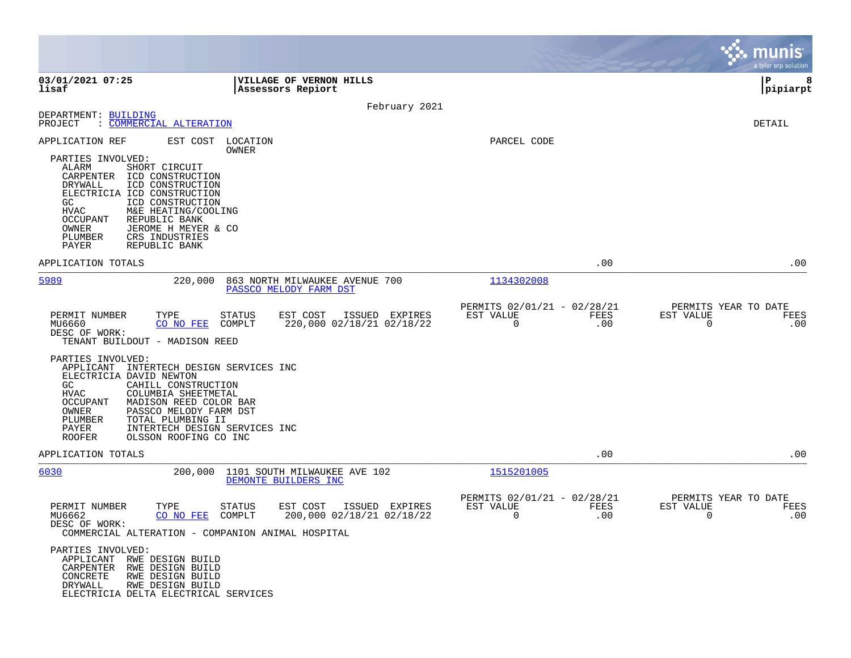|                                                                                                                                                                                                                                                                                                                                                         |                                                                                    |                                                         |             | a tyler erp solution                                            |
|---------------------------------------------------------------------------------------------------------------------------------------------------------------------------------------------------------------------------------------------------------------------------------------------------------------------------------------------------------|------------------------------------------------------------------------------------|---------------------------------------------------------|-------------|-----------------------------------------------------------------|
| 03/01/2021 07:25<br>lisaf                                                                                                                                                                                                                                                                                                                               | VILLAGE OF VERNON HILLS<br>Assessors Repiort                                       |                                                         |             | l P<br>8<br> pipiarpt                                           |
|                                                                                                                                                                                                                                                                                                                                                         | February 2021                                                                      |                                                         |             |                                                                 |
| DEPARTMENT: BUILDING<br>: COMMERCIAL ALTERATION<br>PROJECT                                                                                                                                                                                                                                                                                              |                                                                                    |                                                         |             | DETAIL                                                          |
| APPLICATION REF<br>EST COST                                                                                                                                                                                                                                                                                                                             | LOCATION                                                                           | PARCEL CODE                                             |             |                                                                 |
| PARTIES INVOLVED:<br>ALARM<br>SHORT CIRCUIT<br>CARPENTER ICD CONSTRUCTION<br>ICD CONSTRUCTION<br>DRYWALL<br>ELECTRICIA ICD CONSTRUCTION<br>GC.<br>ICD CONSTRUCTION<br><b>HVAC</b><br>M&E HEATING/COOLING<br>OCCUPANT<br>REPUBLIC BANK<br>OWNER<br>JEROME H MEYER & CO<br>CRS INDUSTRIES<br>PLUMBER<br>PAYER<br>REPUBLIC BANK                            | OWNER                                                                              |                                                         |             |                                                                 |
| APPLICATION TOTALS                                                                                                                                                                                                                                                                                                                                      |                                                                                    |                                                         | .00         | .00                                                             |
| 5989<br>220,000                                                                                                                                                                                                                                                                                                                                         | 863 NORTH MILWAUKEE AVENUE 700<br>PASSCO MELODY FARM DST                           | 1134302008                                              |             |                                                                 |
| PERMIT NUMBER<br>TYPE<br>MU6660<br>CO NO FEE<br>DESC OF WORK:<br>TENANT BUILDOUT - MADISON REED                                                                                                                                                                                                                                                         | <b>STATUS</b><br>EST COST<br>ISSUED EXPIRES<br>COMPLT<br>220,000 02/18/21 02/18/22 | PERMITS 02/01/21 - 02/28/21<br>EST VALUE<br>$\mathbf 0$ | FEES<br>.00 | PERMITS YEAR TO DATE<br>EST VALUE<br>FEES<br>$\mathbf 0$<br>.00 |
| PARTIES INVOLVED:<br>APPLICANT INTERTECH DESIGN SERVICES INC<br>ELECTRICIA DAVID NEWTON<br>GC<br>CAHILL CONSTRUCTION<br><b>HVAC</b><br>COLUMBIA SHEETMETAL<br>OCCUPANT<br>MADISON REED COLOR BAR<br>OWNER<br>PASSCO MELODY FARM DST<br>PLUMBER<br>TOTAL PLUMBING II<br>PAYER<br>INTERTECH DESIGN SERVICES INC<br><b>ROOFER</b><br>OLSSON ROOFING CO INC |                                                                                    |                                                         |             |                                                                 |
| APPLICATION TOTALS                                                                                                                                                                                                                                                                                                                                      |                                                                                    |                                                         | .00         | .00                                                             |
| 6030<br>200,000                                                                                                                                                                                                                                                                                                                                         | 1101 SOUTH MILWAUKEE AVE 102<br>DEMONTE BUILDERS INC                               | 1515201005                                              |             |                                                                 |
| PERMIT NUMBER<br>TYPE<br>MU6662<br>CO NO FEE<br>DESC OF WORK:<br>COMMERCIAL ALTERATION - COMPANION ANIMAL HOSPITAL                                                                                                                                                                                                                                      | <b>STATUS</b><br>EST COST<br>ISSUED EXPIRES<br>COMPLT<br>200,000 02/18/21 02/18/22 | PERMITS 02/01/21 - 02/28/21<br>EST VALUE<br>0           | FEES<br>.00 | PERMITS YEAR TO DATE<br>EST VALUE<br>FEES<br>.00<br>0           |
| PARTIES INVOLVED:<br>APPLICANT RWE DESIGN BUILD<br>CARPENTER<br>RWE DESIGN BUILD<br>CONCRETE<br>RWE DESIGN BUILD<br>RWE DESIGN BUILD<br>DRYWALL<br>ELECTRICIA DELTA ELECTRICAL SERVICES                                                                                                                                                                 |                                                                                    |                                                         |             |                                                                 |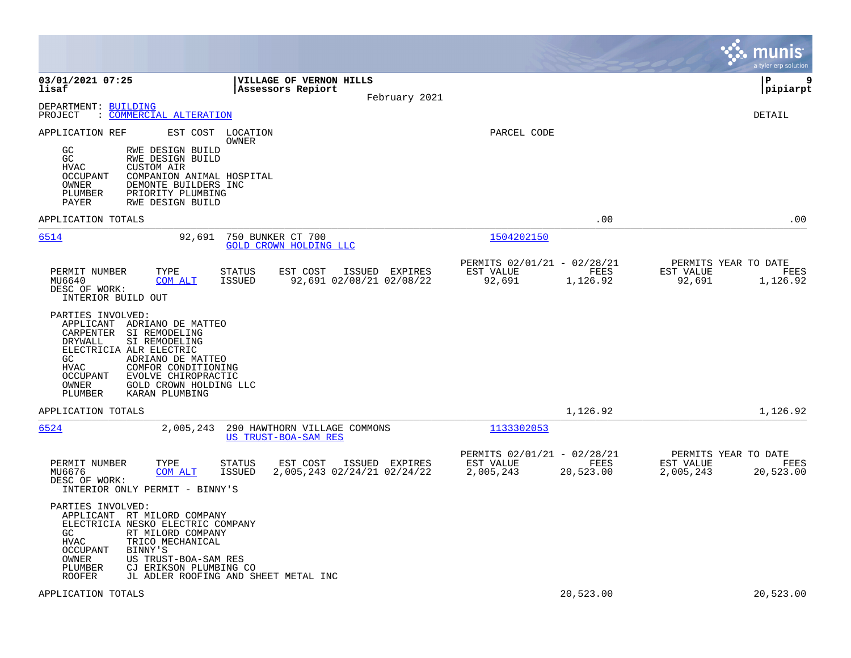|                                                                                                                                                                                                                                                                                                            |                                                                            | munis<br>a tyler erp solution                                       |
|------------------------------------------------------------------------------------------------------------------------------------------------------------------------------------------------------------------------------------------------------------------------------------------------------------|----------------------------------------------------------------------------|---------------------------------------------------------------------|
| 03/01/2021 07:25<br>VILLAGE OF VERNON HILLS<br>lisaf<br>Assessors Repiort                                                                                                                                                                                                                                  | February 2021                                                              | l P<br>9<br> pipiarpt                                               |
| DEPARTMENT: BUILDING<br>: COMMERCIAL ALTERATION<br>PROJECT                                                                                                                                                                                                                                                 |                                                                            | DETAIL                                                              |
| APPLICATION REF<br>EST COST LOCATION<br>OWNER<br>GC<br>RWE DESIGN BUILD<br>GC<br>RWE DESIGN BUILD<br><b>HVAC</b><br><b>CUSTOM AIR</b><br>OCCUPANT<br>COMPANION ANIMAL HOSPITAL<br>OWNER<br>DEMONTE BUILDERS INC<br>PLUMBER<br>PRIORITY PLUMBING<br>PAYER<br>RWE DESIGN BUILD                               | PARCEL CODE                                                                |                                                                     |
| APPLICATION TOTALS                                                                                                                                                                                                                                                                                         | .00                                                                        | .00                                                                 |
| 6514<br>750 BUNKER CT 700<br>92,691<br><b>GOLD CROWN HOLDING LLC</b>                                                                                                                                                                                                                                       | 1504202150                                                                 |                                                                     |
| PERMIT NUMBER<br>TYPE<br><b>STATUS</b><br>EST COST<br>ISSUED EXPIRES<br><b>ISSUED</b><br>92,691 02/08/21 02/08/22<br>MU6640<br>COM ALT<br>DESC OF WORK:<br>INTERIOR BUILD OUT                                                                                                                              | PERMITS 02/01/21 - 02/28/21<br>EST VALUE<br>FEES<br>92,691<br>1,126.92     | PERMITS YEAR TO DATE<br>EST VALUE<br>FEES<br>92,691<br>1,126.92     |
| PARTIES INVOLVED:<br>APPLICANT ADRIANO DE MATTEO<br>CARPENTER SI REMODELING<br>DRYWALL<br>SI REMODELING<br>ELECTRICIA ALR ELECTRIC<br>ADRIANO DE MATTEO<br>GC<br>COMFOR CONDITIONING<br>HVAC<br>OCCUPANT<br>EVOLVE CHIROPRACTIC<br>GOLD CROWN HOLDING LLC<br>OWNER<br>PLUMBER<br>KARAN PLUMBING            |                                                                            |                                                                     |
| APPLICATION TOTALS                                                                                                                                                                                                                                                                                         | 1,126.92                                                                   | 1,126.92                                                            |
| 6524<br>2,005,243<br>290 HAWTHORN VILLAGE COMMONS<br>US TRUST-BOA-SAM RES                                                                                                                                                                                                                                  | 1133302053                                                                 |                                                                     |
| PERMIT NUMBER<br>TYPE<br>STATUS<br>EST COST<br>ISSUED EXPIRES<br>2,005,243 02/24/21 02/24/22<br>MU6676<br>COM ALT<br><b>ISSUED</b><br>DESC OF WORK:<br>INTERIOR ONLY PERMIT - BINNY'S                                                                                                                      | PERMITS 02/01/21 - 02/28/21<br>EST VALUE<br>FEES<br>2,005,243<br>20,523.00 | PERMITS YEAR TO DATE<br>EST VALUE<br>FEES<br>2,005,243<br>20,523.00 |
| PARTIES INVOLVED:<br>APPLICANT RT MILORD COMPANY<br>ELECTRICIA NESKO ELECTRIC COMPANY<br>GC.<br>RT MILORD COMPANY<br><b>HVAC</b><br>TRICO MECHANICAL<br>BINNY'S<br>OCCUPANT<br>OWNER<br>US TRUST-BOA-SAM RES<br>PLUMBER<br>CJ ERIKSON PLUMBING CO<br><b>ROOFER</b><br>JL ADLER ROOFING AND SHEET METAL INC |                                                                            |                                                                     |
| APPLICATION TOTALS                                                                                                                                                                                                                                                                                         | 20,523.00                                                                  | 20,523.00                                                           |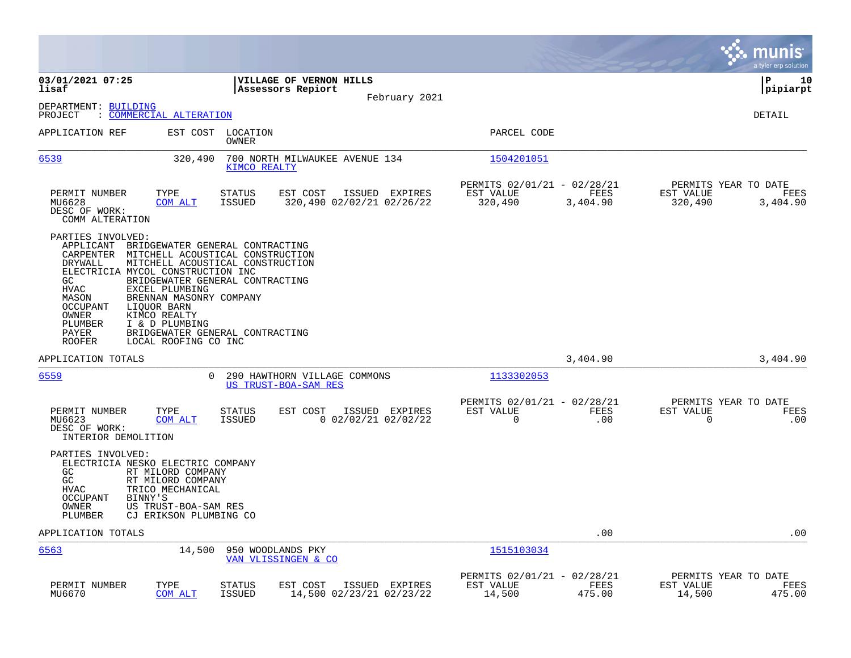|                                                                                                                                                                                                                                                                                                                  |                                                                                                                                                                               |                                                                               | munis<br>a tyler erp solution                                    |
|------------------------------------------------------------------------------------------------------------------------------------------------------------------------------------------------------------------------------------------------------------------------------------------------------------------|-------------------------------------------------------------------------------------------------------------------------------------------------------------------------------|-------------------------------------------------------------------------------|------------------------------------------------------------------|
| 03/01/2021 07:25<br>lisaf                                                                                                                                                                                                                                                                                        | <b>VILLAGE OF VERNON HILLS</b><br>Assessors Repiort                                                                                                                           |                                                                               | ΙP<br>10<br> pipiarpt                                            |
| DEPARTMENT: BUILDING                                                                                                                                                                                                                                                                                             | February 2021                                                                                                                                                                 |                                                                               |                                                                  |
| : COMMERCIAL ALTERATION<br>PROJECT                                                                                                                                                                                                                                                                               |                                                                                                                                                                               |                                                                               | DETAIL                                                           |
| APPLICATION REF                                                                                                                                                                                                                                                                                                  | EST COST LOCATION<br>OWNER                                                                                                                                                    | PARCEL CODE                                                                   |                                                                  |
| 6539<br>320,490                                                                                                                                                                                                                                                                                                  | 700 NORTH MILWAUKEE AVENUE 134<br>KIMCO REALTY                                                                                                                                | 1504201051                                                                    |                                                                  |
| PERMIT NUMBER<br>TYPE<br>MU6628<br>COM ALT<br>DESC OF WORK:<br>COMM ALTERATION                                                                                                                                                                                                                                   | <b>STATUS</b><br>EST COST<br>ISSUED EXPIRES<br><b>ISSUED</b><br>320,490 02/02/21 02/26/22                                                                                     | PERMITS 02/01/21 - 02/28/21<br>EST VALUE<br>FEES<br>320,490<br>3,404.90       | PERMITS YEAR TO DATE<br>EST VALUE<br>FEES<br>320,490<br>3,404.90 |
| PARTIES INVOLVED:<br>APPLICANT<br>CARPENTER<br>DRYWALL<br>ELECTRICIA MYCOL CONSTRUCTION INC<br>GC<br><b>HVAC</b><br>EXCEL PLUMBING<br>MASON<br>BRENNAN MASONRY COMPANY<br><b>OCCUPANT</b><br>LIQUOR BARN<br>KIMCO REALTY<br>OWNER<br>PLUMBER<br>I & D PLUMBING<br>PAYER<br><b>ROOFER</b><br>LOCAL ROOFING CO INC | BRIDGEWATER GENERAL CONTRACTING<br>MITCHELL ACOUSTICAL CONSTRUCTION<br>MITCHELL ACOUSTICAL CONSTRUCTION<br>BRIDGEWATER GENERAL CONTRACTING<br>BRIDGEWATER GENERAL CONTRACTING |                                                                               |                                                                  |
| APPLICATION TOTALS                                                                                                                                                                                                                                                                                               |                                                                                                                                                                               | 3,404.90                                                                      | 3,404.90                                                         |
| 6559                                                                                                                                                                                                                                                                                                             | 290 HAWTHORN VILLAGE COMMONS<br>0<br>US TRUST-BOA-SAM RES                                                                                                                     | 1133302053                                                                    |                                                                  |
| PERMIT NUMBER<br>TYPE<br>MU6623<br>COM ALT<br>DESC OF WORK:<br>INTERIOR DEMOLITION                                                                                                                                                                                                                               | <b>STATUS</b><br>EST COST<br>ISSUED EXPIRES<br>ISSUED<br>$0$ 02/02/21 02/02/22                                                                                                | PERMITS 02/01/21 - 02/28/21<br>EST VALUE<br><b>FEES</b><br>$\mathbf 0$<br>.00 | PERMITS YEAR TO DATE<br>EST VALUE<br>FEES<br>$\mathbf 0$<br>.00  |
| PARTIES INVOLVED:<br>ELECTRICIA NESKO ELECTRIC COMPANY<br>GC<br>RT MILORD COMPANY<br>GC<br>RT MILORD COMPANY<br><b>HVAC</b><br>TRICO MECHANICAL<br><b>OCCUPANT</b><br>BINNY'S<br>OWNER<br>US TRUST-BOA-SAM RES<br>PLUMBER<br>CJ ERIKSON PLUMBING CO                                                              |                                                                                                                                                                               |                                                                               |                                                                  |
| APPLICATION TOTALS                                                                                                                                                                                                                                                                                               |                                                                                                                                                                               | .00                                                                           | .00                                                              |
| 6563<br>14,500                                                                                                                                                                                                                                                                                                   | 950 WOODLANDS PKY<br>VAN VLISSINGEN & CO                                                                                                                                      | 1515103034                                                                    |                                                                  |
| PERMIT NUMBER<br>TYPE<br>MU6670<br>COM ALT                                                                                                                                                                                                                                                                       | EST COST<br>ISSUED EXPIRES<br>STATUS<br><b>ISSUED</b><br>14,500 02/23/21 02/23/22                                                                                             | PERMITS 02/01/21 - 02/28/21<br>EST VALUE<br>FEES<br>14,500<br>475.00          | PERMITS YEAR TO DATE<br>EST VALUE<br>FEES<br>14,500<br>475.00    |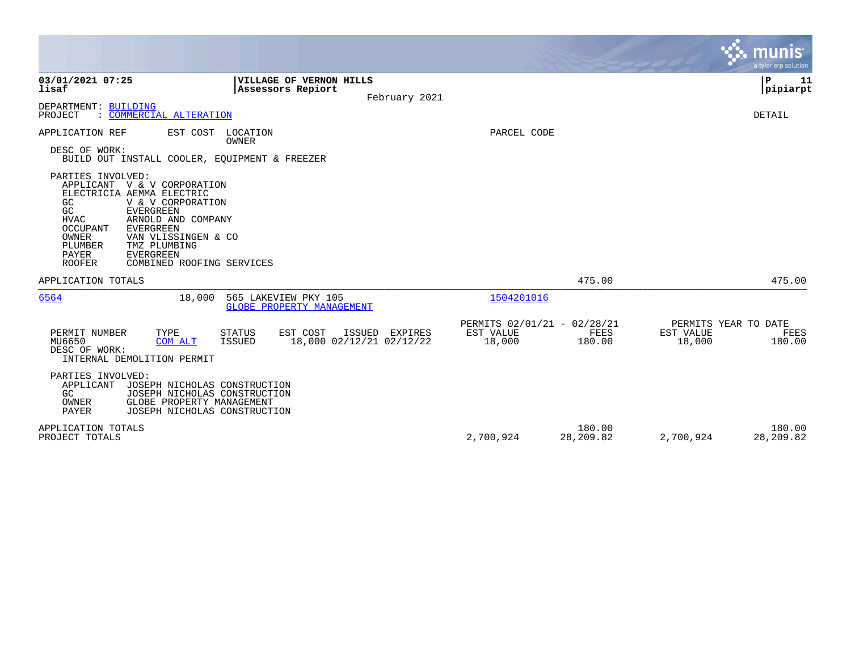|                                                                                                                                                                                                                                                                                                                                                      |                                                                                              |                                                    |                       |                                                    | <b>munis</b><br>a tyler erp solution |
|------------------------------------------------------------------------------------------------------------------------------------------------------------------------------------------------------------------------------------------------------------------------------------------------------------------------------------------------------|----------------------------------------------------------------------------------------------|----------------------------------------------------|-----------------------|----------------------------------------------------|--------------------------------------|
| 03/01/2021 07:25<br>lisaf                                                                                                                                                                                                                                                                                                                            | VILLAGE OF VERNON HILLS<br>Assessors Repiort                                                 |                                                    |                       |                                                    | P<br>11<br> pipiarpt                 |
| DEPARTMENT: BUILDING<br>: COMMERCIAL ALTERATION<br>PROJECT                                                                                                                                                                                                                                                                                           | February 2021                                                                                |                                                    |                       |                                                    | DETAIL                               |
| APPLICATION REF<br>DESC OF WORK:<br>BUILD OUT INSTALL COOLER, EQUIPMENT & FREEZER                                                                                                                                                                                                                                                                    | EST COST LOCATION<br>OWNER                                                                   | PARCEL CODE                                        |                       |                                                    |                                      |
| PARTIES INVOLVED:<br>APPLICANT V & V CORPORATION<br>ELECTRICIA AEMMA ELECTRIC<br>GC<br>V & V CORPORATION<br>GC<br><b>EVERGREEN</b><br><b>HVAC</b><br>ARNOLD AND COMPANY<br>OCCUPANT<br><b>EVERGREEN</b><br><b>OWNER</b><br>VAN VLISSINGEN & CO<br>PLUMBER<br>TMZ PLUMBING<br>PAYER<br><b>EVERGREEN</b><br><b>ROOFER</b><br>COMBINED ROOFING SERVICES |                                                                                              |                                                    |                       |                                                    |                                      |
| APPLICATION TOTALS                                                                                                                                                                                                                                                                                                                                   |                                                                                              |                                                    | 475.00                |                                                    | 475.00                               |
| 6564<br>18,000                                                                                                                                                                                                                                                                                                                                       | 565 LAKEVIEW PKY 105<br><b>GLOBE PROPERTY MANAGEMENT</b>                                     | 1504201016                                         |                       |                                                    |                                      |
| PERMIT NUMBER<br>TYPE<br>MU6650<br>COM ALT<br>DESC OF WORK:<br>INTERNAL DEMOLITION PERMIT                                                                                                                                                                                                                                                            | EST COST<br>ISSUED EXPIRES<br><b>STATUS</b><br>18,000 02/12/21 02/12/22<br><b>ISSUED</b>     | PERMITS 02/01/21 - 02/28/21<br>EST VALUE<br>18,000 | <b>FEES</b><br>180.00 | PERMITS YEAR TO DATE<br><b>EST VALUE</b><br>18,000 | FEES<br>180.00                       |
| PARTIES INVOLVED:<br>APPLICANT<br>GC<br>GLOBE PROPERTY MANAGEMENT<br>OWNER<br>PAYER                                                                                                                                                                                                                                                                  | JOSEPH NICHOLAS CONSTRUCTION<br>JOSEPH NICHOLAS CONSTRUCTION<br>JOSEPH NICHOLAS CONSTRUCTION |                                                    |                       |                                                    |                                      |
| APPLICATION TOTALS<br>PROJECT TOTALS                                                                                                                                                                                                                                                                                                                 |                                                                                              | 2,700,924                                          | 180.00<br>28,209.82   | 2,700,924                                          | 180.00<br>28,209.82                  |

**Contract**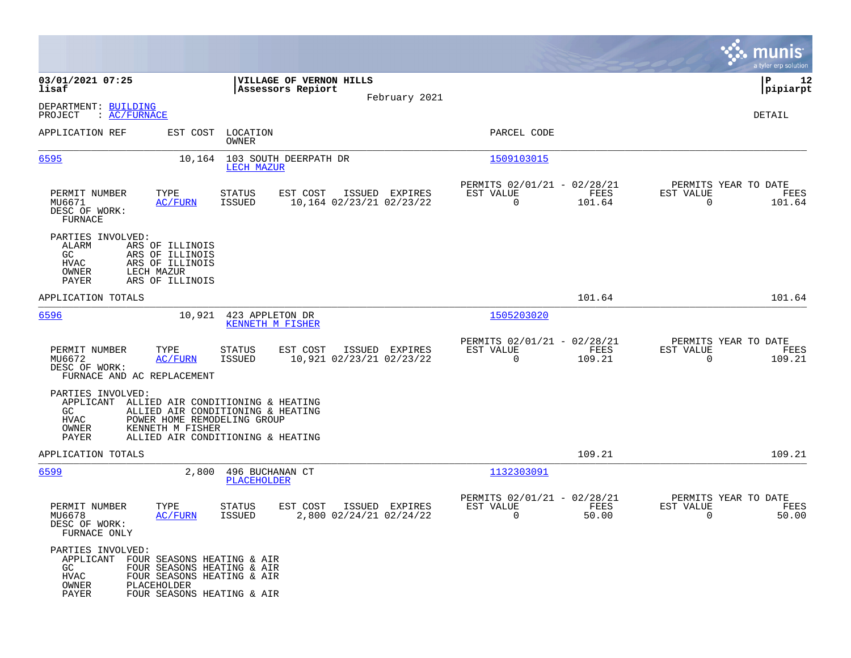|                                                                                                                                                                                                    |                                                                                   |                                                                           | munis<br>a tyler erp solution                                      |
|----------------------------------------------------------------------------------------------------------------------------------------------------------------------------------------------------|-----------------------------------------------------------------------------------|---------------------------------------------------------------------------|--------------------------------------------------------------------|
| 03/01/2021 07:25<br>lisaf                                                                                                                                                                          | VILLAGE OF VERNON HILLS<br>Assessors Repiort                                      |                                                                           | ΙP<br>12<br> pipiarpt                                              |
| DEPARTMENT: BUILDING<br>: AC/FURNACE<br>PROJECT                                                                                                                                                    | February 2021                                                                     |                                                                           | DETAIL                                                             |
| APPLICATION REF<br>EST COST                                                                                                                                                                        | LOCATION<br>OWNER                                                                 | PARCEL CODE                                                               |                                                                    |
| <u>6595</u>                                                                                                                                                                                        | 10,164 103 SOUTH DEERPATH DR<br>LECH MAZUR                                        | 1509103015                                                                |                                                                    |
| TYPE<br>PERMIT NUMBER<br>MU6671<br><u>AC/FURN</u><br>DESC OF WORK:<br><b>FURNACE</b>                                                                                                               | EST COST<br><b>STATUS</b><br>ISSUED EXPIRES<br>ISSUED<br>10,164 02/23/21 02/23/22 | PERMITS 02/01/21 - 02/28/21<br>EST VALUE<br>FEES<br>$\mathbf 0$<br>101.64 | PERMITS YEAR TO DATE<br>EST VALUE<br>FEES<br>$\mathbf 0$<br>101.64 |
| PARTIES INVOLVED:<br>ALARM<br>ARS OF ILLINOIS<br>GC<br>ARS OF ILLINOIS<br>HVAC<br>ARS OF ILLINOIS<br>OWNER<br>LECH MAZUR<br><b>PAYER</b><br>ARS OF ILLINOIS                                        |                                                                                   |                                                                           |                                                                    |
| APPLICATION TOTALS                                                                                                                                                                                 |                                                                                   | 101.64                                                                    | 101.64                                                             |
| 6596<br>10,921                                                                                                                                                                                     | 423 APPLETON DR<br>KENNETH M FISHER                                               | 1505203020                                                                |                                                                    |
| PERMIT NUMBER<br>TYPE<br>MU6672<br><b>AC/FURN</b><br>DESC OF WORK:<br>FURNACE AND AC REPLACEMENT                                                                                                   | EST COST<br>ISSUED EXPIRES<br>STATUS<br>ISSUED<br>10,921 02/23/21 02/23/22        | PERMITS 02/01/21 - 02/28/21<br>EST VALUE<br>FEES<br>0<br>109.21           | PERMITS YEAR TO DATE<br>EST VALUE<br>FEES<br>$\mathbf 0$<br>109.21 |
| PARTIES INVOLVED:<br>APPLICANT ALLIED AIR CONDITIONING & HEATING<br>GC.<br><b>HVAC</b><br>POWER HOME REMODELING GROUP<br>OWNER<br>KENNETH M FISHER<br>PAYER                                        | ALLIED AIR CONDITIONING & HEATING<br>ALLIED AIR CONDITIONING & HEATING            |                                                                           |                                                                    |
| APPLICATION TOTALS                                                                                                                                                                                 |                                                                                   | 109.21                                                                    | 109.21                                                             |
| 6599<br>2,800                                                                                                                                                                                      | 496 BUCHANAN CT<br>PLACEHOLDER                                                    | 1132303091                                                                |                                                                    |
| PERMIT NUMBER<br>TYPE<br>MU6678<br><b>AC/FURN</b><br>DESC OF WORK:<br>FURNACE ONLY                                                                                                                 | EST COST<br>ISSUED EXPIRES<br>STATUS<br>ISSUED<br>2,800 02/24/21 02/24/22         | PERMITS 02/01/21 - 02/28/21<br>EST VALUE<br>FEES<br>0<br>50.00            | PERMITS YEAR TO DATE<br>EST VALUE<br>FEES<br>0<br>50.00            |
| PARTIES INVOLVED:<br>APPLICANT FOUR SEASONS HEATING & AIR<br>GC<br>FOUR SEASONS HEATING & AIR<br>HVAC<br>FOUR SEASONS HEATING & AIR<br>OWNER<br>PLACEHOLDER<br>FOUR SEASONS HEATING & AIR<br>PAYER |                                                                                   |                                                                           |                                                                    |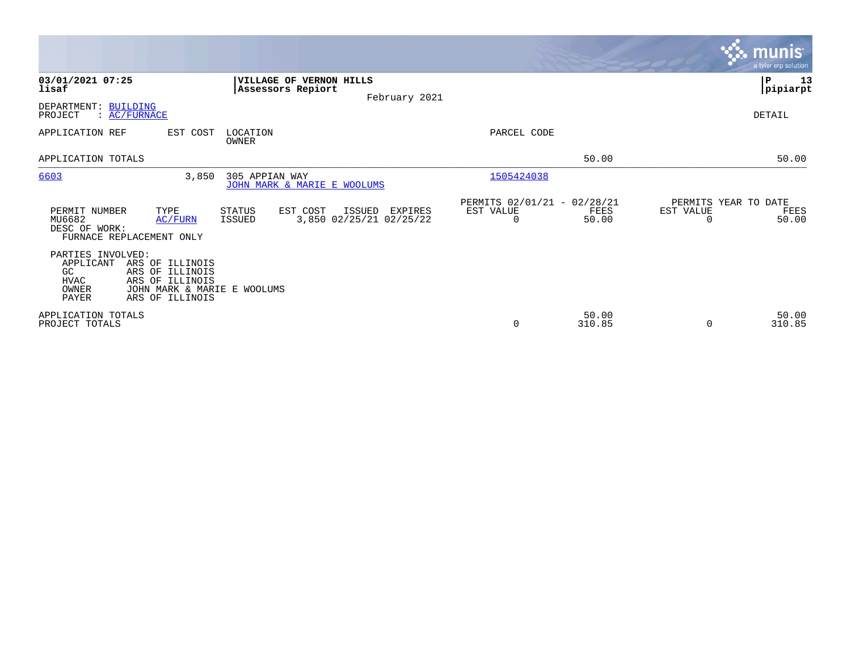|                                                                        |                                                                                                         |                                                     |                                              |                                                         |                 |                                               | <b>munis</b><br>a tyler erp solution |
|------------------------------------------------------------------------|---------------------------------------------------------------------------------------------------------|-----------------------------------------------------|----------------------------------------------|---------------------------------------------------------|-----------------|-----------------------------------------------|--------------------------------------|
| 03/01/2021 07:25<br>lisaf                                              |                                                                                                         | <b>VILLAGE OF VERNON HILLS</b><br>Assessors Repiort | February 2021                                |                                                         |                 |                                               | ∣₽<br>13<br> pipiarpt                |
| DEPARTMENT: BUILDING<br>PROJECT                                        | : AC/FURNACE                                                                                            |                                                     |                                              |                                                         |                 |                                               | DETAIL                               |
| APPLICATION REF                                                        | EST COST                                                                                                | LOCATION<br>OWNER                                   |                                              | PARCEL CODE                                             |                 |                                               |                                      |
| APPLICATION TOTALS                                                     |                                                                                                         |                                                     |                                              |                                                         | 50.00           |                                               | 50.00                                |
| 6603                                                                   | 3,850                                                                                                   | 305 APPIAN WAY<br>JOHN MARK & MARIE E WOOLUMS       |                                              | 1505424038                                              |                 |                                               |                                      |
| PERMIT NUMBER<br>MU6682<br>DESC OF WORK:                               | TYPE<br>AC/FURN<br>FURNACE REPLACEMENT ONLY                                                             | STATUS<br>EST COST<br>ISSUED                        | ISSUED<br>EXPIRES<br>3,850 02/25/21 02/25/22 | PERMITS 02/01/21 - 02/28/21<br>EST VALUE<br>$\mathbf 0$ | FEES<br>50.00   | PERMITS YEAR TO DATE<br>EST VALUE<br>$\Omega$ | FEES<br>50.00                        |
| PARTIES INVOLVED:<br>APPLICANT<br>GC.<br>HVAC<br>OWNER<br><b>PAYER</b> | ARS OF ILLINOIS<br>ARS OF ILLINOIS<br>ARS OF ILLINOIS<br>JOHN MARK & MARIE E WOOLUMS<br>ARS OF ILLINOIS |                                                     |                                              |                                                         |                 |                                               |                                      |
| APPLICATION TOTALS<br>PROJECT TOTALS                                   |                                                                                                         |                                                     |                                              | 0                                                       | 50.00<br>310.85 | $\Omega$                                      | 50.00<br>310.85                      |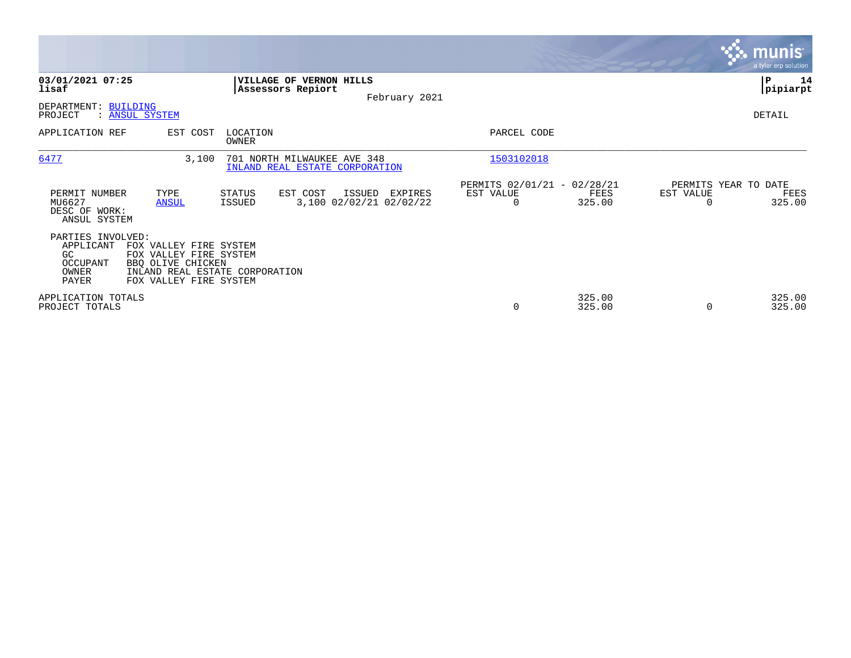|                                                                     |                                                                                                                                   |                                                               |                                              |                                                      |                  |                                   | munis <sup>®</sup><br>a tyler erp solution |
|---------------------------------------------------------------------|-----------------------------------------------------------------------------------------------------------------------------------|---------------------------------------------------------------|----------------------------------------------|------------------------------------------------------|------------------|-----------------------------------|--------------------------------------------|
| 03/01/2021 07:25<br>lisaf                                           |                                                                                                                                   | VILLAGE OF VERNON HILLS<br>Assessors Repiort                  | February 2021                                |                                                      |                  |                                   | ∣P<br>14<br> pipiarpt                      |
| DEPARTMENT: BUILDING<br>PROJECT                                     | : ANSUL SYSTEM                                                                                                                    |                                                               |                                              |                                                      |                  |                                   | DETAIL                                     |
| APPLICATION REF                                                     | EST COST                                                                                                                          | LOCATION<br>OWNER                                             |                                              | PARCEL CODE                                          |                  |                                   |                                            |
| 6477                                                                | 3,100                                                                                                                             | 701 NORTH MILWAUKEE AVE 348<br>INLAND REAL ESTATE CORPORATION |                                              | 1503102018                                           |                  |                                   |                                            |
| PERMIT NUMBER<br>MU6627<br>DESC OF WORK:<br>ANSUL SYSTEM            | TYPE<br><b>ANSUL</b>                                                                                                              | EST COST<br>STATUS<br>ISSUED                                  | ISSUED<br>EXPIRES<br>3,100 02/02/21 02/02/22 | PERMITS 02/01/21 - 02/28/21<br>EST VALUE<br>$\Omega$ | FEES<br>325.00   | PERMITS YEAR TO DATE<br>EST VALUE | FEES<br>325.00                             |
| PARTIES INVOLVED:<br>APPLICANT<br>GC.<br>OCCUPANT<br>OWNER<br>PAYER | FOX VALLEY FIRE SYSTEM<br>FOX VALLEY FIRE SYSTEM<br>BBQ OLIVE CHICKEN<br>INLAND REAL ESTATE CORPORATION<br>FOX VALLEY FIRE SYSTEM |                                                               |                                              |                                                      |                  |                                   |                                            |
| APPLICATION TOTALS<br>PROJECT TOTALS                                |                                                                                                                                   |                                                               |                                              | 0                                                    | 325.00<br>325.00 |                                   | 325.00<br>325.00                           |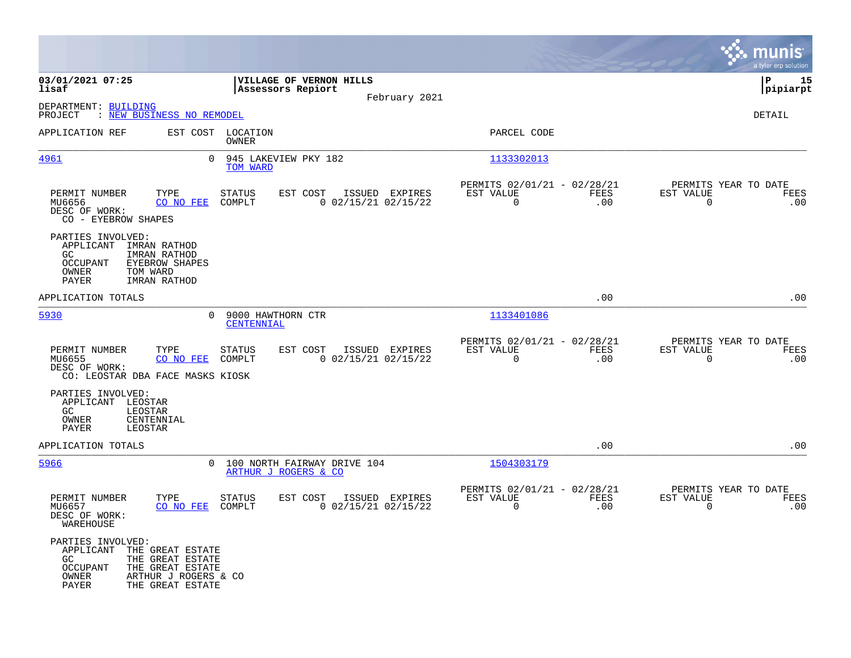|                                                                                                                                                                             |                                                                                |                                                                        | munis<br>a tyler erp solution                                   |
|-----------------------------------------------------------------------------------------------------------------------------------------------------------------------------|--------------------------------------------------------------------------------|------------------------------------------------------------------------|-----------------------------------------------------------------|
| 03/01/2021 07:25<br>lisaf                                                                                                                                                   | VILLAGE OF VERNON HILLS<br>Assessors Repiort<br>February 2021                  |                                                                        | ΙP<br>15<br> pipiarpt                                           |
| DEPARTMENT: BUILDING<br>PROJECT<br>: NEW BUSINESS NO REMODEL                                                                                                                |                                                                                |                                                                        | DETAIL                                                          |
| APPLICATION REF                                                                                                                                                             | EST COST LOCATION<br>OWNER                                                     | PARCEL CODE                                                            |                                                                 |
| 0<br><u>4961</u>                                                                                                                                                            | 945 LAKEVIEW PKY 182<br>TOM WARD                                               | 1133302013                                                             |                                                                 |
| TYPE<br>PERMIT NUMBER<br>MU6656<br>CO NO FEE<br>DESC OF WORK:<br>CO - EYEBROW SHAPES                                                                                        | EST COST<br>ISSUED EXPIRES<br><b>STATUS</b><br>COMPLT<br>$0$ 02/15/21 02/15/22 | PERMITS 02/01/21 - 02/28/21<br>EST VALUE<br><b>FEES</b><br>0<br>.00    | PERMITS YEAR TO DATE<br>EST VALUE<br>FEES<br>$\mathbf 0$<br>.00 |
| PARTIES INVOLVED:<br>APPLICANT IMRAN RATHOD<br><b>IMRAN RATHOD</b><br>GC.<br><b>OCCUPANT</b><br><b>EYEBROW SHAPES</b><br>OWNER<br>TOM WARD<br><b>IMRAN RATHOD</b><br>PAYER  |                                                                                |                                                                        |                                                                 |
| APPLICATION TOTALS                                                                                                                                                          |                                                                                | .00                                                                    | .00                                                             |
| 5930<br>$\Omega$                                                                                                                                                            | 9000 HAWTHORN CTR<br><b>CENTENNIAL</b>                                         | 1133401086                                                             |                                                                 |
| PERMIT NUMBER<br>TYPE<br>CO NO FEE<br>MU6655<br>DESC OF WORK:<br>CO: LEOSTAR DBA FACE MASKS KIOSK                                                                           | <b>STATUS</b><br>EST COST<br>ISSUED EXPIRES<br>COMPLT<br>$0$ 02/15/21 02/15/22 | PERMITS 02/01/21 - 02/28/21<br>EST VALUE<br><b>FEES</b><br>0<br>.00    | PERMITS YEAR TO DATE<br>EST VALUE<br>FEES<br>0<br>.00           |
| PARTIES INVOLVED:<br>APPLICANT LEOSTAR<br>GC<br>LEOSTAR<br>CENTENNIAL<br>OWNER<br>PAYER<br>LEOSTAR                                                                          |                                                                                |                                                                        |                                                                 |
| APPLICATION TOTALS                                                                                                                                                          |                                                                                | .00                                                                    | .00                                                             |
| 5966<br>$\Omega$                                                                                                                                                            | 100 NORTH FAIRWAY DRIVE 104<br>ARTHUR J ROGERS & CO                            | 1504303179                                                             |                                                                 |
| PERMIT NUMBER<br>TYPE<br>MU6657<br>CO NO FEE<br>DESC OF WORK:<br>WAREHOUSE                                                                                                  | <b>STATUS</b><br>EST COST<br>ISSUED EXPIRES<br>COMPLT<br>$0$ 02/15/21 02/15/22 | PERMITS 02/01/21 - 02/28/21<br>EST VALUE<br>FEES<br>$\mathbf 0$<br>.00 | PERMITS YEAR TO DATE<br>EST VALUE<br>FEES<br>.00<br>0           |
| PARTIES INVOLVED:<br>APPLICANT<br>THE GREAT ESTATE<br>GC.<br>THE GREAT ESTATE<br>OCCUPANT<br>THE GREAT ESTATE<br>OWNER<br>ARTHUR J ROGERS & CO<br>PAYER<br>THE GREAT ESTATE |                                                                                |                                                                        |                                                                 |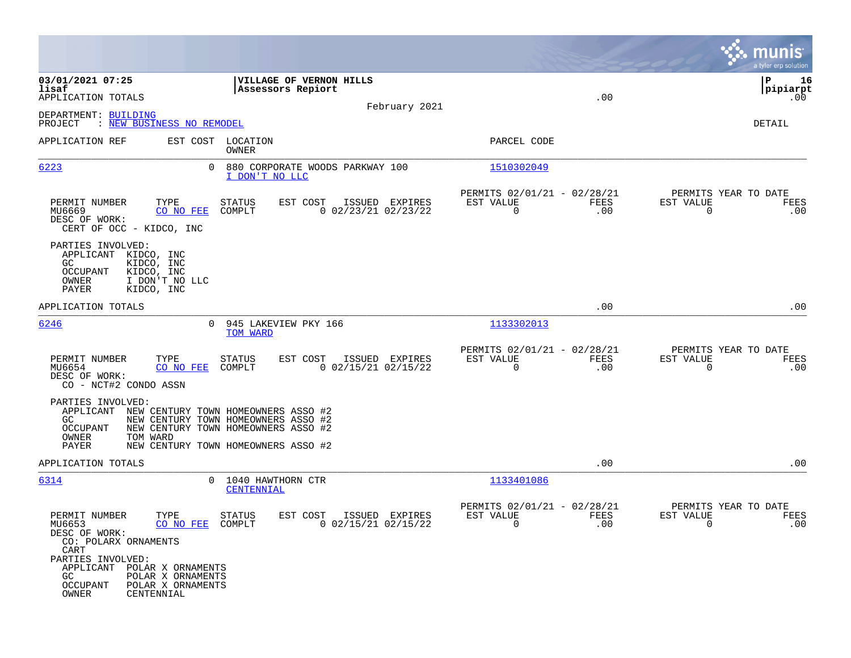|                                                                                                                                            |                                                                                                                   |                                                         |             | munis<br>a tyler erp solution                                   |
|--------------------------------------------------------------------------------------------------------------------------------------------|-------------------------------------------------------------------------------------------------------------------|---------------------------------------------------------|-------------|-----------------------------------------------------------------|
| 03/01/2021 07:25<br>lisaf<br>APPLICATION TOTALS                                                                                            | VILLAGE OF VERNON HILLS<br>Assessors Repiort                                                                      |                                                         | .00         | ΙP<br>16<br> pipiarpt<br>.00                                    |
| DEPARTMENT: BUILDING<br>PROJECT : NEW BUSINESS NO REMODEL                                                                                  | February 2021                                                                                                     |                                                         |             | DETAIL                                                          |
| APPLICATION REF                                                                                                                            | EST COST LOCATION<br>OWNER                                                                                        | PARCEL CODE                                             |             |                                                                 |
| 6223<br>0                                                                                                                                  | 880 CORPORATE WOODS PARKWAY 100<br>I DON'T NO LLC                                                                 | 1510302049                                              |             |                                                                 |
| PERMIT NUMBER<br>TYPE<br>CO NO FEE<br>MU6669<br>DESC OF WORK:<br>CERT OF OCC - KIDCO, INC                                                  | EST COST<br>ISSUED EXPIRES<br>STATUS<br>COMPLT<br>$0$ 02/23/21 02/23/22                                           | PERMITS 02/01/21 - 02/28/21<br>EST VALUE<br>0           | FEES<br>.00 | PERMITS YEAR TO DATE<br>EST VALUE<br>FEES<br>0<br>.00           |
| PARTIES INVOLVED:<br>APPLICANT KIDCO, INC<br>GC.<br>KIDCO, INC<br>KIDCO, INC<br>OCCUPANT<br>I DON'T NO LLC<br>OWNER<br>KIDCO, INC<br>PAYER |                                                                                                                   |                                                         |             |                                                                 |
| APPLICATION TOTALS                                                                                                                         |                                                                                                                   |                                                         | .00         | .00                                                             |
| 6246<br>$\Omega$                                                                                                                           | 945 LAKEVIEW PKY 166<br>TOM WARD                                                                                  | 1133302013                                              |             |                                                                 |
| PERMIT NUMBER<br>TYPE<br>MU6654<br>CO NO FEE<br>DESC OF WORK:<br>CO - NCT#2 CONDO ASSN                                                     | <b>STATUS</b><br>EST COST<br>ISSUED EXPIRES<br>COMPLT<br>$0$ 02/15/21 02/15/22                                    | PERMITS 02/01/21 - 02/28/21<br>EST VALUE<br>$\mathbf 0$ | FEES<br>.00 | PERMITS YEAR TO DATE<br>EST VALUE<br>FEES<br>$\mathbf 0$<br>.00 |
| PARTIES INVOLVED:<br>APPLICANT NEW CENTURY TOWN HOMEOWNERS ASSO #2<br>GC<br>OCCUPANT<br>OWNER<br>TOM WARD<br>PAYER                         | NEW CENTURY TOWN HOMEOWNERS ASSO #2<br>NEW CENTURY TOWN HOMEOWNERS ASSO #2<br>NEW CENTURY TOWN HOMEOWNERS ASSO #2 |                                                         |             |                                                                 |
| APPLICATION TOTALS                                                                                                                         |                                                                                                                   |                                                         | .00         | .00                                                             |
| 6314<br>$\Omega$                                                                                                                           | 1040 HAWTHORN CTR<br>CENTENNIAL                                                                                   | 1133401086                                              |             |                                                                 |
| PERMIT NUMBER<br>TYPE<br>MU6653<br>CO NO FEE<br>DESC OF WORK:<br>CO: POLARX ORNAMENTS<br>CART                                              | <b>STATUS</b><br>EST COST<br>ISSUED EXPIRES<br>$0$ 02/15/21 02/15/22<br>COMPLT                                    | PERMITS 02/01/21 - 02/28/21<br>EST VALUE<br>$\mathbf 0$ | FEES<br>.00 | PERMITS YEAR TO DATE<br>EST VALUE<br>FEES<br>0<br>.00           |
| PARTIES INVOLVED:<br>APPLICANT POLAR X ORNAMENTS<br>POLAR X ORNAMENTS<br>GC.<br>POLAR X ORNAMENTS<br>OCCUPANT<br>OWNER<br>CENTENNIAL       |                                                                                                                   |                                                         |             |                                                                 |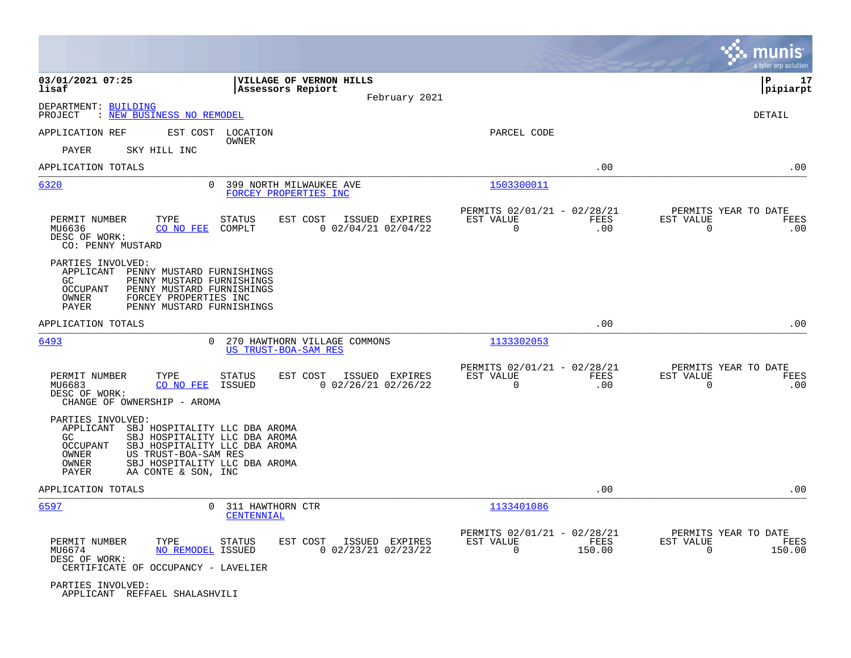|                                                                                                                                                                                                                         |                                                                                                                                  |                                                                        | munis<br>a tyler erp solution                                   |
|-------------------------------------------------------------------------------------------------------------------------------------------------------------------------------------------------------------------------|----------------------------------------------------------------------------------------------------------------------------------|------------------------------------------------------------------------|-----------------------------------------------------------------|
| 03/01/2021 07:25<br>lisaf                                                                                                                                                                                               | VILLAGE OF VERNON HILLS<br>Assessors Repiort<br>February 2021                                                                    |                                                                        | 17<br>ΙP<br> pipiarpt                                           |
| DEPARTMENT: BUILDING<br>: NEW BUSINESS NO REMODEL<br>PROJECT                                                                                                                                                            |                                                                                                                                  |                                                                        | DETAIL                                                          |
| APPLICATION REF                                                                                                                                                                                                         | EST COST LOCATION                                                                                                                | PARCEL CODE                                                            |                                                                 |
| SKY HILL INC<br>PAYER                                                                                                                                                                                                   | OWNER                                                                                                                            |                                                                        |                                                                 |
| APPLICATION TOTALS                                                                                                                                                                                                      |                                                                                                                                  | .00                                                                    | .00                                                             |
| 6320                                                                                                                                                                                                                    | 0<br>399 NORTH MILWAUKEE AVE<br>FORCEY PROPERTIES INC                                                                            | 1503300011                                                             |                                                                 |
| PERMIT NUMBER<br>TYPE<br>CO NO FEE<br>MU6636<br>DESC OF WORK:<br>CO: PENNY MUSTARD                                                                                                                                      | <b>STATUS</b><br>EST COST<br>ISSUED EXPIRES<br>COMPLT<br>$0$ 02/04/21 02/04/22                                                   | PERMITS 02/01/21 - 02/28/21<br>EST VALUE<br><b>FEES</b><br>0<br>.00    | PERMITS YEAR TO DATE<br>EST VALUE<br>FEES<br>$\mathbf 0$<br>.00 |
| PARTIES INVOLVED:<br>APPLICANT<br>PENNY MUSTARD FURNISHINGS<br>PENNY MUSTARD FURNISHINGS<br>GC.<br><b>OCCUPANT</b><br>PENNY MUSTARD FURNISHINGS<br>FORCEY PROPERTIES INC<br>OWNER<br>PAYER<br>PENNY MUSTARD FURNISHINGS |                                                                                                                                  |                                                                        |                                                                 |
| APPLICATION TOTALS                                                                                                                                                                                                      |                                                                                                                                  | .00                                                                    | .00                                                             |
| 6493                                                                                                                                                                                                                    | 270 HAWTHORN VILLAGE COMMONS<br>0<br>US TRUST-BOA-SAM RES                                                                        | 1133302053                                                             |                                                                 |
| PERMIT NUMBER<br>TYPE<br>MU6683<br>CO NO FEE<br>DESC OF WORK:<br>CHANGE OF OWNERSHIP - AROMA                                                                                                                            | EST COST<br>ISSUED EXPIRES<br><b>STATUS</b><br>$0$ 02/26/21 02/26/22<br>ISSUED                                                   | PERMITS 02/01/21 - 02/28/21<br>EST VALUE<br>FEES<br>$\mathbf 0$<br>.00 | PERMITS YEAR TO DATE<br>EST VALUE<br>FEES<br>0<br>.00           |
| PARTIES INVOLVED:<br>APPLICANT<br>GC<br>OCCUPANT<br>US TRUST-BOA-SAM RES<br>OWNER<br>OWNER<br>AA CONTE & SON, INC<br>PAYER                                                                                              | SBJ HOSPITALITY LLC DBA AROMA<br>SBJ HOSPITALITY LLC DBA AROMA<br>SBJ HOSPITALITY LLC DBA AROMA<br>SBJ HOSPITALITY LLC DBA AROMA |                                                                        |                                                                 |
| APPLICATION TOTALS                                                                                                                                                                                                      |                                                                                                                                  | .00                                                                    | .00                                                             |
| 6597                                                                                                                                                                                                                    | 311 HAWTHORN CTR<br>$\Omega$<br>CENTENNIAL                                                                                       | 1133401086                                                             |                                                                 |
| PERMIT NUMBER<br>TYPE<br>MU6674<br>DESC OF WORK:<br>CERTIFICATE OF OCCUPANCY - LAVELIER                                                                                                                                 | EST COST<br>ISSUED EXPIRES<br>STATUS<br><b>NO REMODEL ISSUED</b><br>$0$ 02/23/21 02/23/22                                        | PERMITS 02/01/21 - 02/28/21<br>EST VALUE<br>FEES<br>$\Omega$<br>150.00 | PERMITS YEAR TO DATE<br>EST VALUE<br>FEES<br>$\Omega$<br>150.00 |
| PARTIES INVOLVED:<br>APPLICANT REFFAEL SHALASHVILI                                                                                                                                                                      |                                                                                                                                  |                                                                        |                                                                 |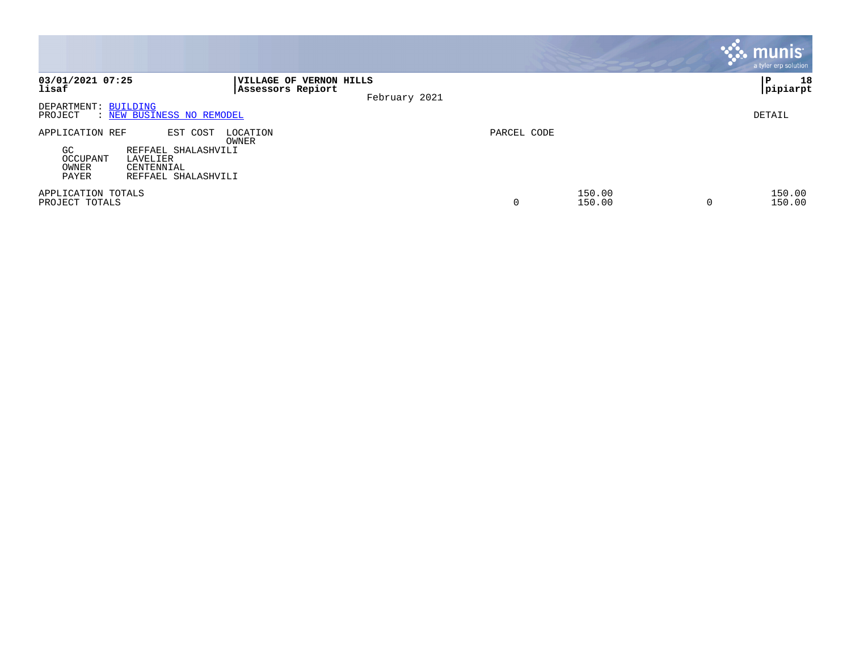|                                                      |                                                                                  |                                              |               |             |                  |   | munis <sup>®</sup><br>a tyler erp solution |
|------------------------------------------------------|----------------------------------------------------------------------------------|----------------------------------------------|---------------|-------------|------------------|---|--------------------------------------------|
| 03/01/2021 07:25<br>lisaf                            |                                                                                  | VILLAGE OF VERNON HILLS<br>Assessors Repiort | February 2021 |             |                  |   | 18<br>ΙP<br>pipiarpt                       |
| DEPARTMENT: BUILDING<br>PROJECT                      | : NEW BUSINESS NO REMODEL                                                        |                                              |               |             |                  |   | DETAIL                                     |
| APPLICATION REF<br>GC.<br>OCCUPANT<br>OWNER<br>PAYER | EST COST<br>REFFAEL SHALASHVILI<br>LAVELIER<br>CENTENNIAL<br>REFFAEL SHALASHVILI | LOCATION<br>OWNER                            |               | PARCEL CODE |                  |   |                                            |
| APPLICATION TOTALS<br>PROJECT TOTALS                 |                                                                                  |                                              |               | 0           | 150.00<br>150.00 | 0 | 150.00<br>150.00                           |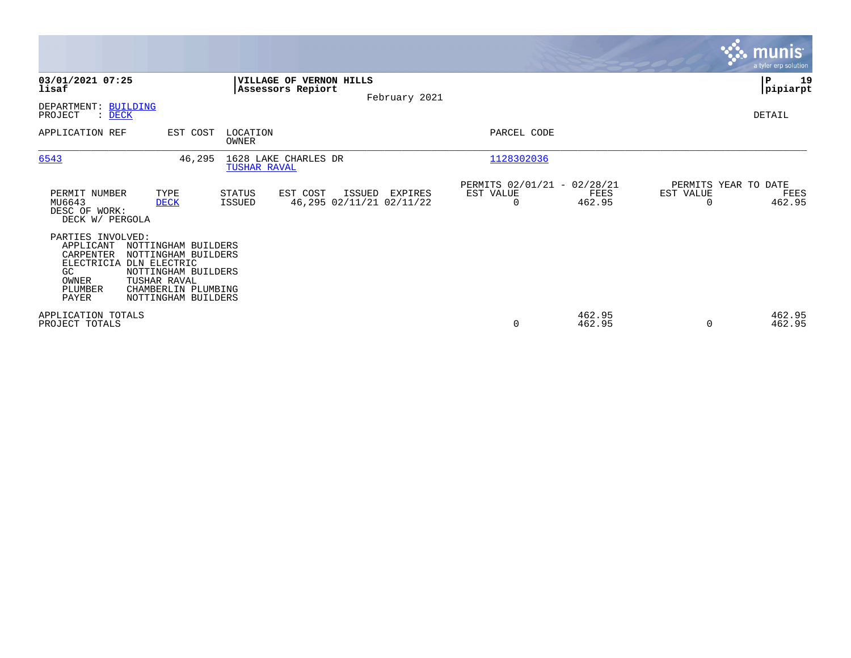|                                                                                                           |                                                                                                                                 |                                |                                                |               |                                                      |                  |           | <b>munis</b><br>a tyler erp solution   |
|-----------------------------------------------------------------------------------------------------------|---------------------------------------------------------------------------------------------------------------------------------|--------------------------------|------------------------------------------------|---------------|------------------------------------------------------|------------------|-----------|----------------------------------------|
| 03/01/2021 07:25<br>lisaf                                                                                 |                                                                                                                                 |                                | VILLAGE OF VERNON HILLS<br>Assessors Repiort   | February 2021 |                                                      |                  |           | l P<br>19<br> pipiarpt                 |
| DEPARTMENT: BUILDING<br>PROJECT<br>: DECK                                                                 |                                                                                                                                 |                                |                                                |               |                                                      |                  |           | DETAIL                                 |
| APPLICATION REF                                                                                           | EST COST                                                                                                                        | LOCATION<br><b>OWNER</b>       |                                                |               | PARCEL CODE                                          |                  |           |                                        |
| 6543                                                                                                      | 46,295                                                                                                                          | TUSHAR RAVAL                   | 1628 LAKE CHARLES DR                           |               | 1128302036                                           |                  |           |                                        |
| PERMIT NUMBER<br>MU6643<br>DESC OF WORK:<br>DECK W/ PERGOLA                                               | TYPE<br><b>DECK</b>                                                                                                             | <b>STATUS</b><br><b>ISSUED</b> | EST COST<br>ISSUED<br>46,295 02/11/21 02/11/22 | EXPIRES       | PERMITS 02/01/21 - 02/28/21<br>EST VALUE<br>$\Omega$ | FEES<br>462.95   | EST VALUE | PERMITS YEAR TO DATE<br>FEES<br>462.95 |
| PARTIES INVOLVED:<br>APPLICANT<br>CARPENTER<br>ELECTRICIA DLN ELECTRIC<br>GC<br>OWNER<br>PLUMBER<br>PAYER | NOTTINGHAM BUILDERS<br>NOTTINGHAM BUILDERS<br>NOTTINGHAM BUILDERS<br>TUSHAR RAVAL<br>CHAMBERLIN PLUMBING<br>NOTTINGHAM BUILDERS |                                |                                                |               |                                                      |                  |           |                                        |
| APPLICATION TOTALS<br>PROJECT TOTALS                                                                      |                                                                                                                                 |                                |                                                |               | 0                                                    | 462.95<br>462.95 | $\Omega$  | 462.95<br>462.95                       |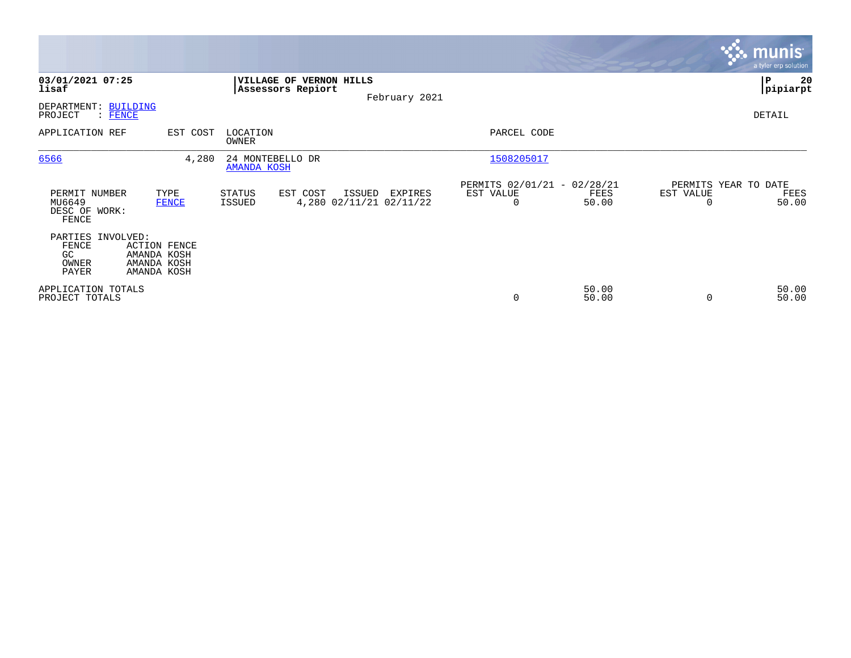|                                                    |                                                                  |                                        |                                              |        |                                    |                                               |                |           | <b>munis</b><br>a tyler erp solution  |
|----------------------------------------------------|------------------------------------------------------------------|----------------------------------------|----------------------------------------------|--------|------------------------------------|-----------------------------------------------|----------------|-----------|---------------------------------------|
| 03/01/2021 07:25<br>lisaf                          |                                                                  |                                        | VILLAGE OF VERNON HILLS<br>Assessors Repiort |        | February 2021                      |                                               |                |           | ∣₽<br>20<br> pipiarpt                 |
| DEPARTMENT: BUILDING<br>PROJECT<br>$\colon$ FENCE  |                                                                  |                                        |                                              |        |                                    |                                               |                |           | DETAIL                                |
| APPLICATION REF                                    | EST COST                                                         | LOCATION<br>OWNER                      |                                              |        |                                    | PARCEL CODE                                   |                |           |                                       |
| 6566                                               | 4,280                                                            | 24 MONTEBELLO DR<br><b>AMANDA KOSH</b> |                                              |        |                                    | 1508205017                                    |                |           |                                       |
| PERMIT NUMBER<br>MU6649<br>DESC OF WORK:<br>FENCE  | TYPE<br><b>FENCE</b>                                             | STATUS<br><b>ISSUED</b>                | EST COST                                     | ISSUED | EXPIRES<br>4,280 02/11/21 02/11/22 | PERMITS 02/01/21 - 02/28/21<br>EST VALUE<br>0 | FEES<br>50.00  | EST VALUE | PERMITS YEAR TO DATE<br>FEES<br>50.00 |
| PARTIES INVOLVED:<br>FENCE<br>GC<br>OWNER<br>PAYER | <b>ACTION FENCE</b><br>AMANDA KOSH<br>AMANDA KOSH<br>AMANDA KOSH |                                        |                                              |        |                                    |                                               |                |           |                                       |
| APPLICATION TOTALS<br>PROJECT TOTALS               |                                                                  |                                        |                                              |        |                                    | $\mathbf 0$                                   | 50.00<br>50.00 |           | 50.00<br>50.00                        |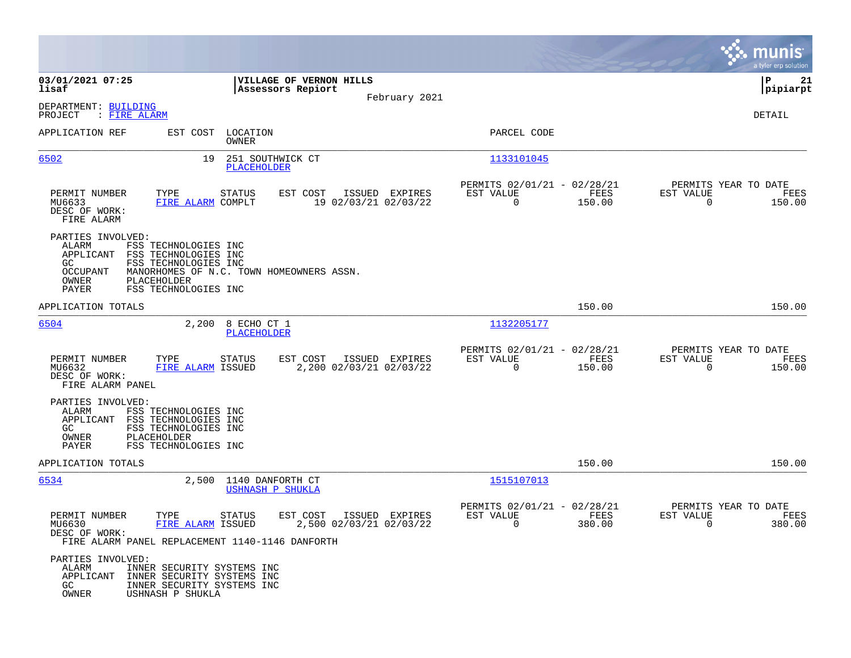|                                                                                                   |                                                                                                                                          |                                                                        | munis<br>a tyler erp solution                                         |
|---------------------------------------------------------------------------------------------------|------------------------------------------------------------------------------------------------------------------------------------------|------------------------------------------------------------------------|-----------------------------------------------------------------------|
| 03/01/2021 07:25<br>lisaf                                                                         | VILLAGE OF VERNON HILLS<br>Assessors Repiort                                                                                             |                                                                        | l P<br>21<br> pipiarpt                                                |
| DEPARTMENT: BUILDING<br>: FIRE ALARM<br>PROJECT                                                   | February 2021                                                                                                                            |                                                                        | <b>DETAIL</b>                                                         |
| APPLICATION REF                                                                                   | EST COST LOCATION<br>OWNER                                                                                                               | PARCEL CODE                                                            |                                                                       |
| 6502                                                                                              | 251 SOUTHWICK CT<br>19<br>PLACEHOLDER                                                                                                    | 1133101045                                                             |                                                                       |
| PERMIT NUMBER<br>TYPE<br>MU6633<br>DESC OF WORK:<br>FIRE ALARM                                    | EST COST<br>ISSUED EXPIRES<br>STATUS<br>FIRE ALARM COMPLT<br>19 02/03/21 02/03/22                                                        | PERMITS 02/01/21 - 02/28/21<br>EST VALUE<br>FEES<br>$\Omega$<br>150.00 | PERMITS YEAR TO DATE<br>EST VALUE<br>FEES<br>$\Omega$<br>150.00       |
| PARTIES INVOLVED:<br>ALARM<br>APPLICANT<br>GC<br><b>OCCUPANT</b><br>OWNER<br>PLACEHOLDER<br>PAYER | FSS TECHNOLOGIES INC<br>FSS TECHNOLOGIES INC<br>FSS TECHNOLOGIES INC<br>MANORHOMES OF N.C. TOWN HOMEOWNERS ASSN.<br>FSS TECHNOLOGIES INC |                                                                        |                                                                       |
| APPLICATION TOTALS                                                                                |                                                                                                                                          | 150.00                                                                 | 150.00                                                                |
| 6504                                                                                              | 2,200 8 ECHO CT 1<br>PLACEHOLDER                                                                                                         | 1132205177                                                             |                                                                       |
| PERMIT NUMBER<br>TYPE<br>MU6632<br>DESC OF WORK:<br>FIRE ALARM PANEL                              | EST COST<br>ISSUED EXPIRES<br>STATUS<br>FIRE ALARM ISSUED<br>2,200 02/03/21 02/03/22                                                     | PERMITS 02/01/21 - 02/28/21<br>EST VALUE<br>FEES<br>$\Omega$<br>150.00 | PERMITS YEAR TO DATE<br>EST VALUE<br>FEES<br>$\overline{0}$<br>150.00 |
| PARTIES INVOLVED:<br>ALARM<br>APPLICANT<br>GC.<br>PLACEHOLDER<br>OWNER<br>PAYER                   | FSS TECHNOLOGIES INC<br>FSS TECHNOLOGIES INC<br>FSS TECHNOLOGIES INC<br>FSS TECHNOLOGIES INC                                             |                                                                        |                                                                       |
| APPLICATION TOTALS                                                                                |                                                                                                                                          | 150.00                                                                 | 150.00                                                                |
| 6534                                                                                              | 2,500 1140 DANFORTH CT<br>USHNASH P SHUKLA                                                                                               | 1515107013                                                             |                                                                       |
| PERMIT NUMBER<br>TYPE<br>MU6630<br>DESC OF WORK:                                                  | ISSUED EXPIRES<br>STATUS<br>EST COST<br>FIRE ALARM ISSUED<br>2,500 02/03/21 02/03/22<br>FIRE ALARM PANEL REPLACEMENT 1140-1146 DANFORTH  | PERMITS 02/01/21 - 02/28/21<br>EST VALUE<br>FEES<br>380.00<br>$\sim$ 0 | PERMITS YEAR TO DATE<br>EST VALUE<br>FEES<br>380.00<br>$\overline{0}$ |
| PARTIES INVOLVED:<br>ALARM<br>APPLICANT<br>GC<br>OWNER<br>USHNASH P SHUKLA                        | INNER SECURITY SYSTEMS INC<br>INNER SECURITY SYSTEMS INC<br>INNER SECURITY SYSTEMS INC                                                   |                                                                        |                                                                       |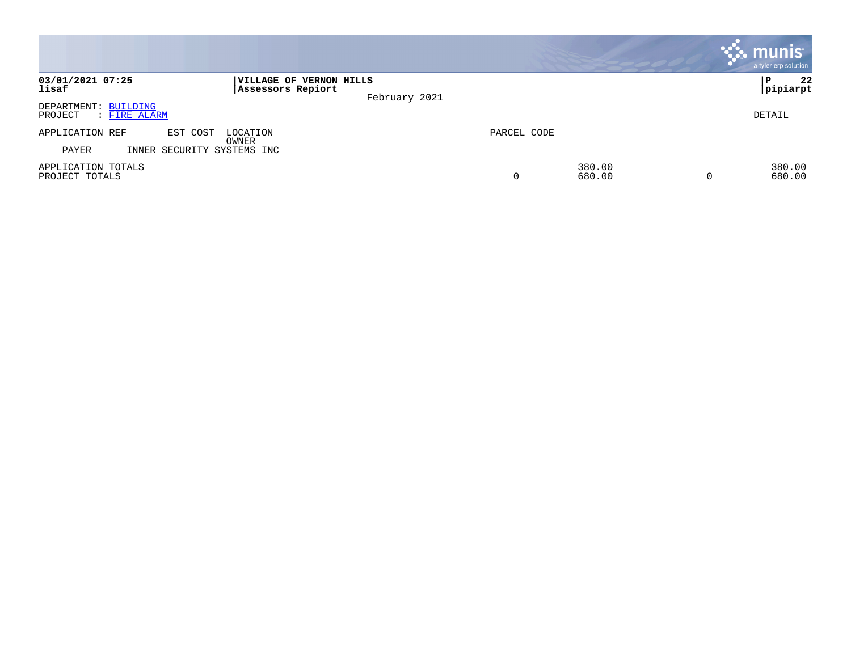|                                                 |                                                               |             |                  | <b>munis</b><br>a tyler erp solution |
|-------------------------------------------------|---------------------------------------------------------------|-------------|------------------|--------------------------------------|
| 03/01/2021 07:25<br>lisaf                       | VILLAGE OF VERNON HILLS<br>Assessors Repiort<br>February 2021 |             |                  | 22<br>ï P<br>pipiarpt                |
| DEPARTMENT: BUILDING<br>PROJECT<br>: FIRE ALARM |                                                               |             |                  | DETAIL                               |
| APPLICATION REF<br>EST COST                     | LOCATION<br>OWNER                                             | PARCEL CODE |                  |                                      |
| INNER SECURITY SYSTEMS INC<br>PAYER             |                                                               |             |                  |                                      |
| APPLICATION TOTALS<br>PROJECT TOTALS            |                                                               | 0           | 380.00<br>680.00 | 380.00<br>680.00                     |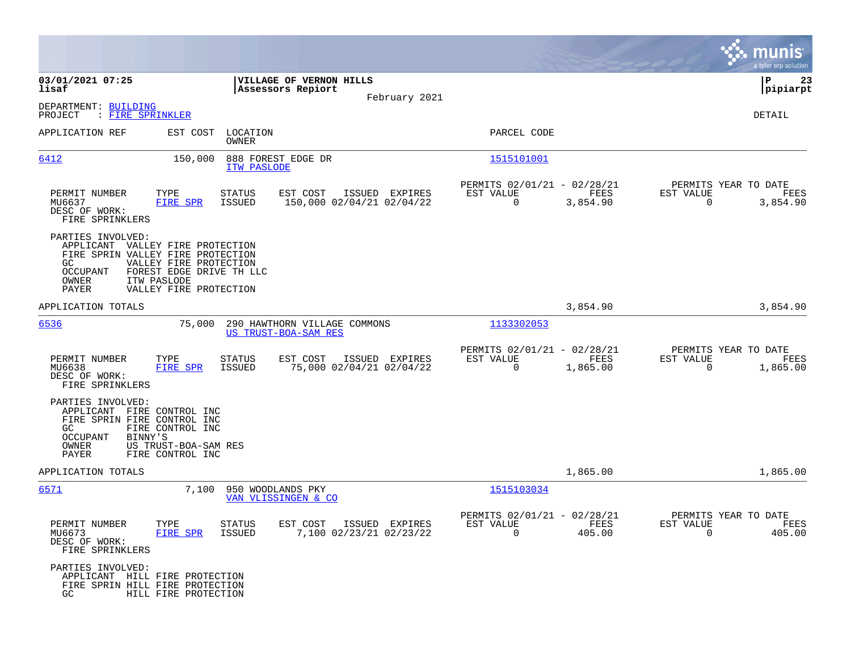|                                                                                                                                                                              |                                                                              |                                                      |                |                                                      |                       |                                               | munis<br>a tyler erp solution |
|------------------------------------------------------------------------------------------------------------------------------------------------------------------------------|------------------------------------------------------------------------------|------------------------------------------------------|----------------|------------------------------------------------------|-----------------------|-----------------------------------------------|-------------------------------|
| 03/01/2021 07:25<br>lisaf                                                                                                                                                    |                                                                              | VILLAGE OF VERNON HILLS<br>Assessors Repiort         |                |                                                      |                       |                                               | P<br>23<br> pipiarpt          |
| DEPARTMENT: BUILDING<br>: FIRE SPRINKLER<br>PROJECT                                                                                                                          |                                                                              |                                                      | February 2021  |                                                      |                       |                                               | <b>DETAIL</b>                 |
| APPLICATION REF                                                                                                                                                              | EST COST<br>LOCATION<br><b>OWNER</b>                                         |                                                      |                | PARCEL CODE                                          |                       |                                               |                               |
| 6412                                                                                                                                                                         | 888 FOREST EDGE DR<br>150,000<br>ITW PASLODE                                 |                                                      |                | 1515101001                                           |                       |                                               |                               |
| PERMIT NUMBER<br>TYPE<br>MU6637<br>DESC OF WORK:<br>FIRE SPRINKLERS                                                                                                          | STATUS<br>FIRE SPR<br><b>ISSUED</b>                                          | EST COST<br>150,000 02/04/21 02/04/22                | ISSUED EXPIRES | PERMITS 02/01/21 - 02/28/21<br>EST VALUE<br>0        | FEES<br>3,854.90      | PERMITS YEAR TO DATE<br>EST VALUE<br>0        | FEES<br>3,854.90              |
| PARTIES INVOLVED:<br>APPLICANT VALLEY FIRE PROTECTION<br>FIRE SPRIN VALLEY FIRE PROTECTION<br>GC<br><b>OCCUPANT</b><br>ITW PASLODE<br>OWNER<br>PAYER                         | VALLEY FIRE PROTECTION<br>FOREST EDGE DRIVE TH LLC<br>VALLEY FIRE PROTECTION |                                                      |                |                                                      |                       |                                               |                               |
| APPLICATION TOTALS                                                                                                                                                           |                                                                              |                                                      |                |                                                      | 3,854.90              |                                               | 3,854.90                      |
| 6536                                                                                                                                                                         | 75,000                                                                       | 290 HAWTHORN VILLAGE COMMONS<br>US TRUST-BOA-SAM RES |                | 1133302053                                           |                       |                                               |                               |
| PERMIT NUMBER<br>TYPE<br>MU6638<br>DESC OF WORK:<br>FIRE SPRINKLERS                                                                                                          | <b>STATUS</b><br>FIRE SPR<br><b>ISSUED</b>                                   | EST COST<br>75,000 02/04/21 02/04/22                 | ISSUED EXPIRES | PERMITS 02/01/21 - 02/28/21<br>EST VALUE<br>0        | FEES<br>1,865.00      | PERMITS YEAR TO DATE<br>EST VALUE<br>$\Omega$ | FEES<br>1,865.00              |
| PARTIES INVOLVED:<br>APPLICANT FIRE CONTROL INC<br>FIRE SPRIN FIRE CONTROL INC<br>GC<br>FIRE CONTROL INC<br><b>OCCUPANT</b><br>BINNY'S<br>OWNER<br>PAYER<br>FIRE CONTROL INC | US TRUST-BOA-SAM RES                                                         |                                                      |                |                                                      |                       |                                               |                               |
| APPLICATION TOTALS                                                                                                                                                           |                                                                              |                                                      |                |                                                      | 1,865.00              |                                               | 1,865.00                      |
| <u>6571</u>                                                                                                                                                                  | 7,100<br>950 WOODLANDS PKY                                                   | VAN VLISSINGEN & CO                                  |                | 1515103034                                           |                       |                                               |                               |
| PERMIT NUMBER<br>TYPE<br>MU6673<br>DESC OF WORK:<br>FIRE SPRINKLERS                                                                                                          | <b>STATUS</b><br>FIRE SPR<br>ISSUED                                          | EST COST<br>7,100 02/23/21 02/23/22                  | ISSUED EXPIRES | PERMITS 02/01/21 - 02/28/21<br>EST VALUE<br>$\Omega$ | <b>FEES</b><br>405.00 | PERMITS YEAR TO DATE<br>EST VALUE<br>$\Omega$ | FEES<br>405.00                |
| PARTIES INVOLVED:<br>APPLICANT HILL FIRE PROTECTION<br>FIRE SPRIN HILL FIRE PROTECTION<br>GC                                                                                 | HILL FIRE PROTECTION                                                         |                                                      |                |                                                      |                       |                                               |                               |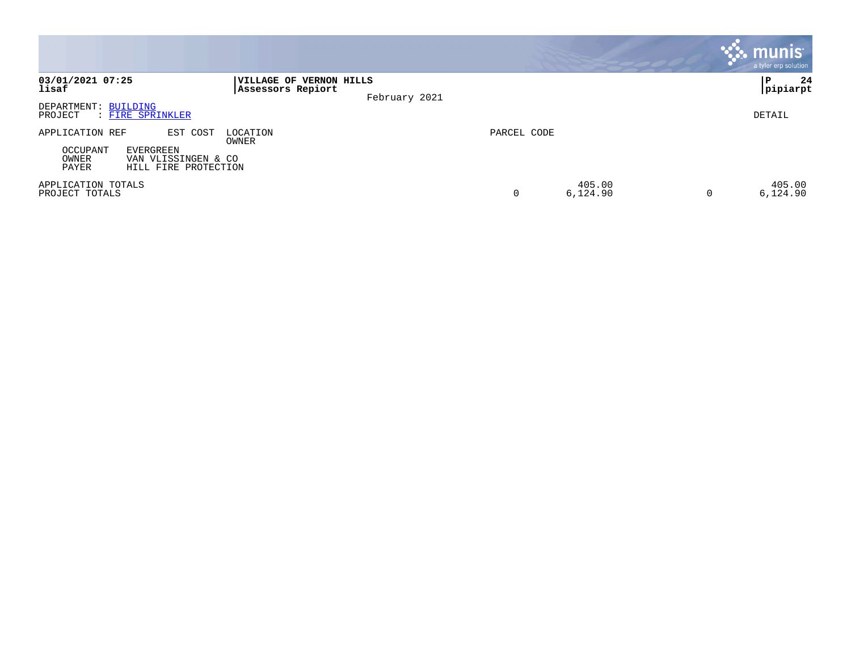|                                                                                                                              |                                                               |             |                    | munis <sup>.</sup><br>a tyler erp solution |
|------------------------------------------------------------------------------------------------------------------------------|---------------------------------------------------------------|-------------|--------------------|--------------------------------------------|
| 03/01/2021 07:25<br>lisaf                                                                                                    | VILLAGE OF VERNON HILLS<br>Assessors Repiort<br>February 2021 |             |                    | 24<br>ΙP<br> pipiarpt                      |
| DEPARTMENT: BUILDING<br>: FIRE SPRINKLER<br>PROJECT                                                                          |                                                               |             |                    | DETAIL                                     |
| EST COST<br>APPLICATION REF<br>OCCUPANT<br><b>EVERGREEN</b><br>OWNER<br>VAN VLISSINGEN & CO<br>PAYER<br>HILL FIRE PROTECTION | LOCATION<br>OWNER                                             | PARCEL CODE |                    |                                            |
| APPLICATION TOTALS<br>PROJECT TOTALS                                                                                         |                                                               | 0           | 405.00<br>6,124.90 | 405.00<br>6,124.90                         |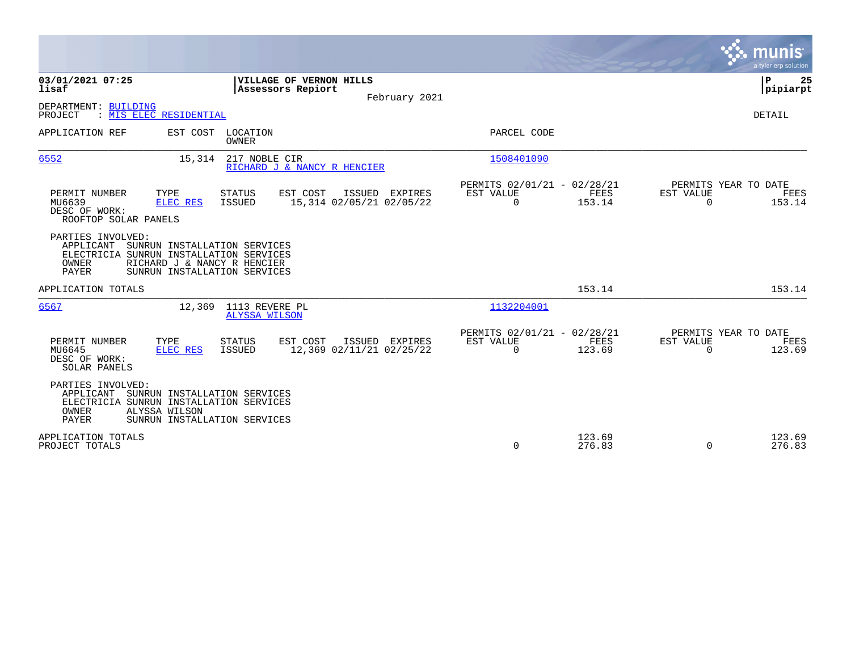|                                                                                                                                                                                                          | munis<br>a tyler erp solution                                                                                                                    |
|----------------------------------------------------------------------------------------------------------------------------------------------------------------------------------------------------------|--------------------------------------------------------------------------------------------------------------------------------------------------|
| 03/01/2021 07:25<br>VILLAGE OF VERNON HILLS<br>lisaf<br>Assessors Repiort                                                                                                                                | P<br>25<br> pipiarpt<br>February 2021                                                                                                            |
| DEPARTMENT: BUILDING<br>MIS ELEC RESIDENTIAL<br>PROJECT                                                                                                                                                  | <b>DETAIL</b>                                                                                                                                    |
| APPLICATION REF<br>EST COST<br>LOCATION<br><b>OWNER</b>                                                                                                                                                  | PARCEL CODE                                                                                                                                      |
| 6552<br>217 NOBLE CIR<br>15,314<br>RICHARD J & NANCY R HENCIER                                                                                                                                           | 1508401090                                                                                                                                       |
| TYPE<br>EST COST<br>ISSUED EXPIRES<br>PERMIT NUMBER<br><b>STATUS</b><br>15,314 02/05/21 02/05/22<br>MU6639<br><b>ELEC RES</b><br><b>ISSUED</b><br>DESC OF WORK:<br>ROOFTOP SOLAR PANELS                  | PERMITS 02/01/21 - 02/28/21<br>PERMITS YEAR TO DATE<br>FEES<br>EST VALUE<br>EST VALUE<br>FEES<br>$\Omega$<br>$\Omega$<br>153.14<br>153.14        |
| PARTIES INVOLVED:<br>SUNRUN INSTALLATION SERVICES<br>APPLICANT<br>ELECTRICIA SUNRUN INSTALLATION SERVICES<br><b>OWNER</b><br>RICHARD J & NANCY R HENCIER<br><b>PAYER</b><br>SUNRUN INSTALLATION SERVICES |                                                                                                                                                  |
| APPLICATION TOTALS                                                                                                                                                                                       | 153.14<br>153.14                                                                                                                                 |
| 1113 REVERE PL<br>6567<br>12,369<br><b>ALYSSA WILSON</b>                                                                                                                                                 | 1132204001                                                                                                                                       |
| PERMIT NUMBER<br>TYPE<br>EST COST<br>ISSUED EXPIRES<br><b>STATUS</b><br>MU6645<br>ISSUED<br>12,369 02/11/21 02/25/22<br>ELEC RES<br>DESC OF WORK:<br>SOLAR PANELS                                        | PERMITS 02/01/21 - 02/28/21<br>PERMITS YEAR TO DATE<br>EST VALUE<br><b>FEES</b><br>EST VALUE<br>FEES<br>123.69<br>123.69<br>$\Omega$<br>$\Omega$ |
| PARTIES INVOLVED:<br>APPLICANT<br>SUNRUN INSTALLATION SERVICES<br>ELECTRICIA SUNRUN INSTALLATION SERVICES<br>OWNER<br>ALYSSA WILSON<br><b>PAYER</b><br>SUNRUN INSTALLATION SERVICES                      |                                                                                                                                                  |
| APPLICATION TOTALS<br>PROJECT TOTALS                                                                                                                                                                     | 123.69<br>123.69<br>$\mathbf 0$<br>276.83<br>276.83<br>$\Omega$                                                                                  |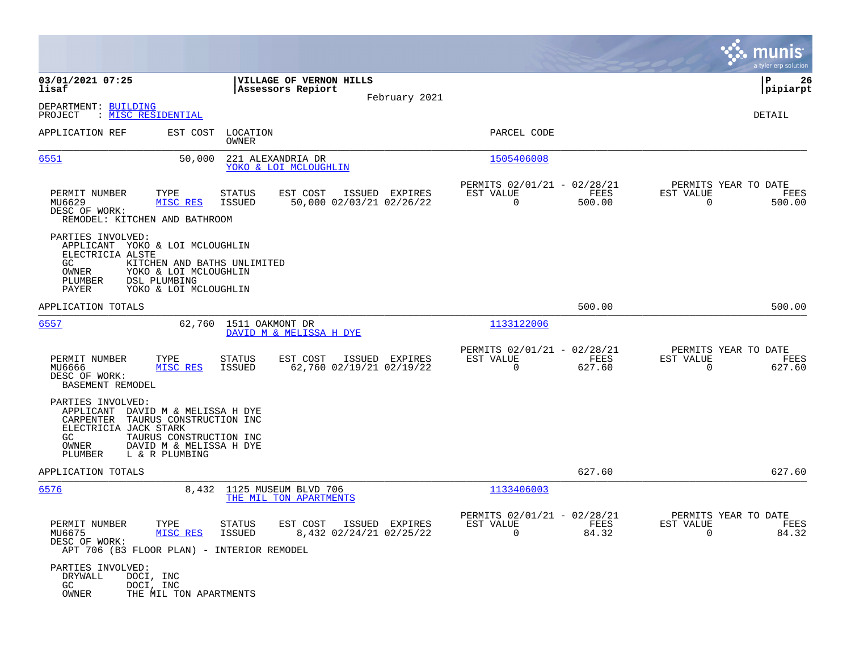|                                                                                                                                                                                                                            |                                                                                         |                                                                           | nis<br>a tyler erp solution                                        |
|----------------------------------------------------------------------------------------------------------------------------------------------------------------------------------------------------------------------------|-----------------------------------------------------------------------------------------|---------------------------------------------------------------------------|--------------------------------------------------------------------|
| 03/01/2021 07:25<br>lisaf                                                                                                                                                                                                  | VILLAGE OF VERNON HILLS<br>Assessors Repiort<br>February 2021                           |                                                                           | ΙP<br>26<br> pipiarpt                                              |
| DEPARTMENT: BUILDING<br>: MISC RESIDENTIAL<br>PROJECT                                                                                                                                                                      |                                                                                         |                                                                           | DETAIL                                                             |
| APPLICATION REF<br>EST COST                                                                                                                                                                                                | LOCATION<br>OWNER                                                                       | PARCEL CODE                                                               |                                                                    |
| 6551<br>50,000                                                                                                                                                                                                             | 221 ALEXANDRIA DR<br>YOKO & LOI MCLOUGHLIN                                              | 1505406008                                                                |                                                                    |
| PERMIT NUMBER<br>TYPE<br>MU6629<br>MISC RES<br>DESC OF WORK:<br>REMODEL: KITCHEN AND BATHROOM                                                                                                                              | EST COST<br><b>STATUS</b><br>ISSUED EXPIRES<br>50,000 02/03/21 02/26/22<br>ISSUED       | PERMITS 02/01/21 - 02/28/21<br>FEES<br>EST VALUE<br>$\mathbf 0$<br>500.00 | PERMITS YEAR TO DATE<br>EST VALUE<br>FEES<br>$\mathbf 0$<br>500.00 |
| PARTIES INVOLVED:<br>APPLICANT YOKO & LOI MCLOUGHLIN<br>ELECTRICIA ALSTE<br>GC.<br>KITCHEN AND BATHS UNLIMITED<br>OWNER<br>YOKO & LOI MCLOUGHLIN<br>DSL PLUMBING<br>PLUMBER<br>YOKO & LOI MCLOUGHLIN<br>PAYER              |                                                                                         |                                                                           |                                                                    |
| APPLICATION TOTALS                                                                                                                                                                                                         |                                                                                         | 500.00                                                                    | 500.00                                                             |
| 6557                                                                                                                                                                                                                       | 62,760 1511 OAKMONT DR<br>DAVID M & MELISSA H DYE                                       | 1133122006                                                                |                                                                    |
| PERMIT NUMBER<br>TYPE<br>MISC RES<br>MU6666<br>DESC OF WORK:<br>BASEMENT REMODEL                                                                                                                                           | <b>STATUS</b><br>EST COST<br>ISSUED EXPIRES<br>62,760 02/19/21 02/19/22<br>ISSUED       | PERMITS 02/01/21 - 02/28/21<br>EST VALUE<br>FEES<br>0<br>627.60           | PERMITS YEAR TO DATE<br>EST VALUE<br>FEES<br>$\mathbf 0$<br>627.60 |
| PARTIES INVOLVED:<br>APPLICANT DAVID M & MELISSA H DYE<br>TAURUS CONSTRUCTION INC<br>CARPENTER<br>ELECTRICIA JACK STARK<br>GC.<br>TAURUS CONSTRUCTION INC<br>OWNER<br>DAVID M & MELISSA H DYE<br>L & R PLUMBING<br>PLUMBER |                                                                                         |                                                                           |                                                                    |
| APPLICATION TOTALS                                                                                                                                                                                                         |                                                                                         | 627.60                                                                    | 627.60                                                             |
| 6576                                                                                                                                                                                                                       | 8,432 1125 MUSEUM BLVD 706<br>THE MIL TON APARTMENTS                                    | 1133406003                                                                |                                                                    |
| PERMIT NUMBER<br>TYPE<br>MU6675<br>MISC RES<br>DESC OF WORK:<br>APT 706 (B3 FLOOR PLAN) - INTERIOR REMODEL                                                                                                                 | <b>STATUS</b><br>EST COST<br>ISSUED EXPIRES<br><b>ISSUED</b><br>8,432 02/24/21 02/25/22 | PERMITS 02/01/21 - 02/28/21<br>EST VALUE<br>FEES<br>$\Omega$<br>84.32     | PERMITS YEAR TO DATE<br>EST VALUE<br>FEES<br>$\Omega$<br>84.32     |
| PARTIES INVOLVED:<br>DRYWALL<br>DOCI, INC<br>DOCI, INC<br>GC.<br>OWNER<br>THE MIL TON APARTMENTS                                                                                                                           |                                                                                         |                                                                           |                                                                    |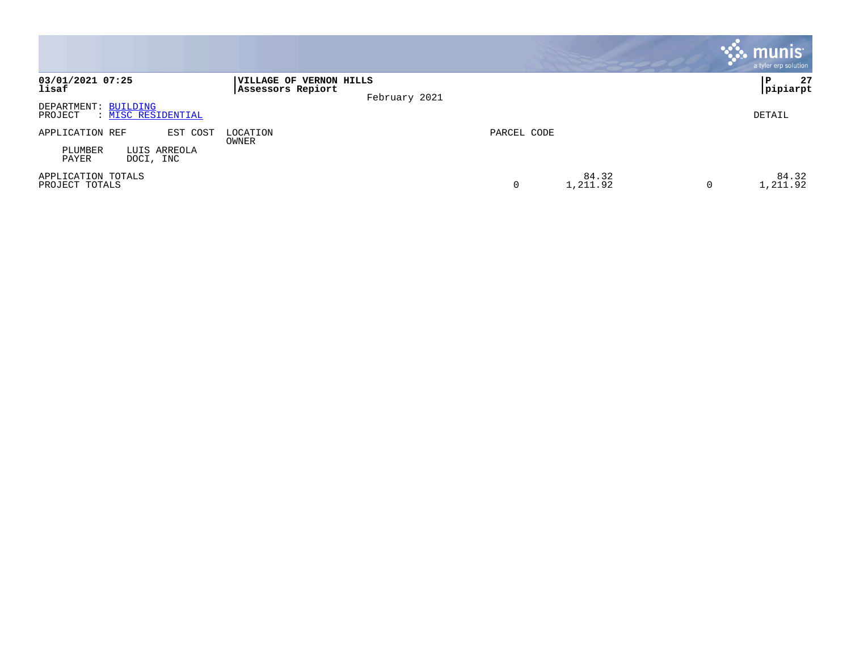|                                                       |                                                               |                        | $\sim$ munis $^{\circ}$<br>a tyler erp solution |
|-------------------------------------------------------|---------------------------------------------------------------|------------------------|-------------------------------------------------|
| 03/01/2021 07:25<br>lisaf                             | VILLAGE OF VERNON HILLS<br>Assessors Repiort<br>February 2021 |                        | 27<br>∣P<br> pipiarpt                           |
| DEPARTMENT: BUILDING<br>: MISC RESIDENTIAL<br>PROJECT |                                                               |                        | DETAIL                                          |
| APPLICATION REF<br>EST COST                           | LOCATION<br>OWNER                                             | PARCEL CODE            |                                                 |
| PLUMBER<br>LUIS ARREOLA<br>DOCI, INC<br>PAYER         |                                                               |                        |                                                 |
| APPLICATION TOTALS<br>PROJECT TOTALS                  |                                                               | 84.32<br>1,211.92<br>0 | 84.32<br>1,211.92<br>0                          |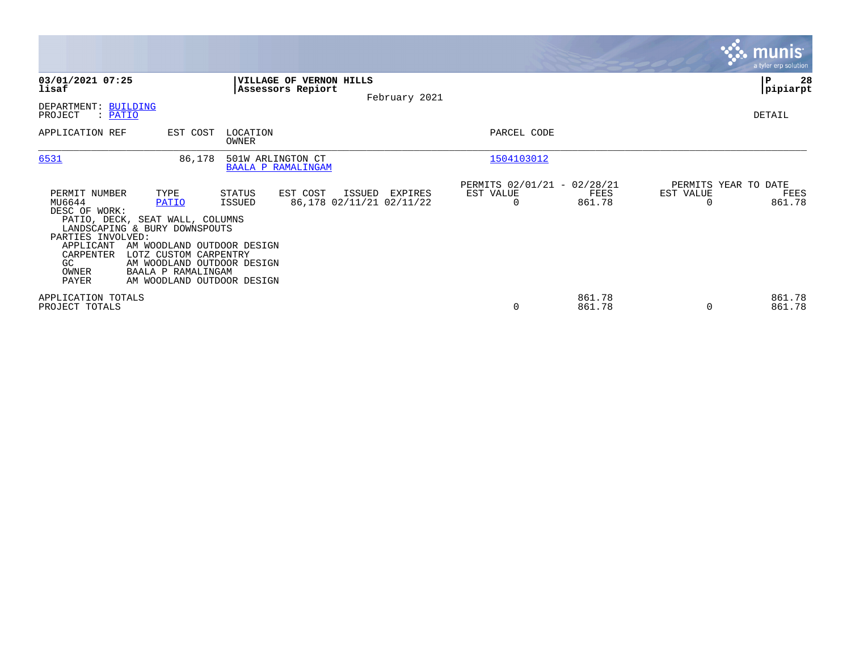|                                                                                                                 |                                                                                                                                                                                                                            |                                                     |                                               |                                                      |                  |                                   | <b>munis</b><br>a tyler erp solution |
|-----------------------------------------------------------------------------------------------------------------|----------------------------------------------------------------------------------------------------------------------------------------------------------------------------------------------------------------------------|-----------------------------------------------------|-----------------------------------------------|------------------------------------------------------|------------------|-----------------------------------|--------------------------------------|
| 03/01/2021 07:25<br>lisaf                                                                                       |                                                                                                                                                                                                                            | <b>VILLAGE OF VERNON HILLS</b><br>Assessors Repiort | February 2021                                 |                                                      |                  |                                   | l P<br>28<br> pipiarpt               |
| DEPARTMENT: BUILDING<br>PROJECT<br>: PATIO                                                                      |                                                                                                                                                                                                                            |                                                     |                                               |                                                      |                  |                                   | DETAIL                               |
| APPLICATION REF                                                                                                 | EST COST                                                                                                                                                                                                                   | LOCATION<br>OWNER                                   |                                               | PARCEL CODE                                          |                  |                                   |                                      |
| 6531                                                                                                            | 86,178                                                                                                                                                                                                                     | 501W ARLINGTON CT<br><b>BAALA P RAMALINGAM</b>      |                                               | 1504103012                                           |                  |                                   |                                      |
| PERMIT NUMBER<br>MU6644<br>DESC OF WORK:<br>PARTIES INVOLVED:<br>APPLICANT<br>CARPENTER<br>GC<br>OWNER<br>PAYER | TYPE<br>PATIO<br>PATIO, DECK, SEAT WALL, COLUMNS<br>LANDSCAPING & BURY DOWNSPOUTS<br>AM WOODLAND OUTDOOR DESIGN<br>LOTZ CUSTOM CARPENTRY<br>AM WOODLAND OUTDOOR DESIGN<br>BAALA P RAMALINGAM<br>AM WOODLAND OUTDOOR DESIGN | EST COST<br>STATUS<br>ISSUED                        | ISSUED<br>EXPIRES<br>86,178 02/11/21 02/11/22 | PERMITS 02/01/21 - 02/28/21<br>EST VALUE<br>$\Omega$ | FEES<br>861.78   | PERMITS YEAR TO DATE<br>EST VALUE | FEES<br>861.78                       |
| APPLICATION TOTALS<br>PROJECT TOTALS                                                                            |                                                                                                                                                                                                                            |                                                     |                                               | 0                                                    | 861.78<br>861.78 |                                   | 861.78<br>861.78                     |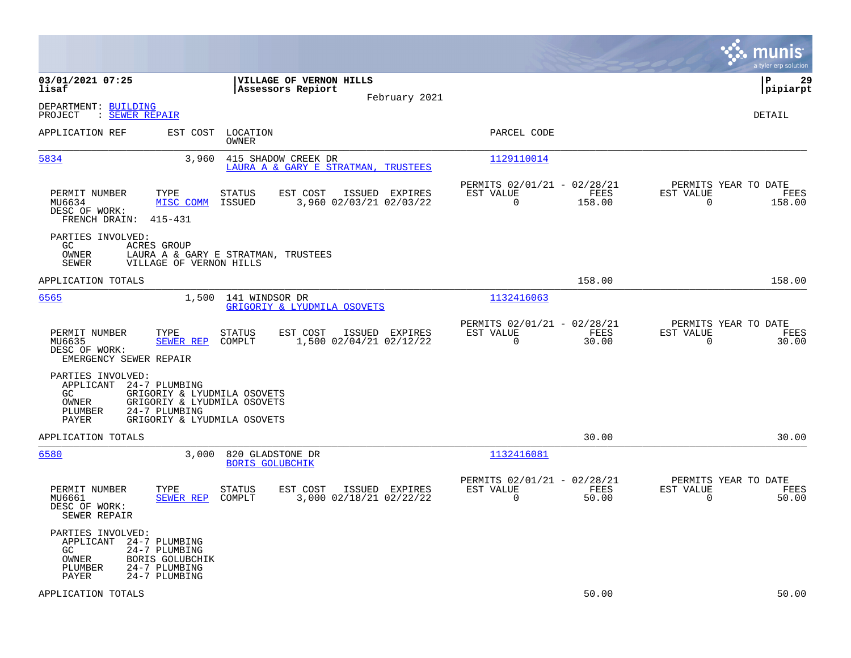|                                                                                                                                                           |                                                                                           |                                                                           | munis<br>a tyler erp solution                                      |
|-----------------------------------------------------------------------------------------------------------------------------------------------------------|-------------------------------------------------------------------------------------------|---------------------------------------------------------------------------|--------------------------------------------------------------------|
| 03/01/2021 07:25<br>lisaf                                                                                                                                 | VILLAGE OF VERNON HILLS<br>Assessors Repiort<br>February 2021                             |                                                                           | P<br>29<br> pipiarpt                                               |
| DEPARTMENT: BUILDING<br>: SEWER REPAIR<br>PROJECT                                                                                                         |                                                                                           |                                                                           | DETAIL                                                             |
| APPLICATION REF                                                                                                                                           | EST COST LOCATION<br><b>OWNER</b>                                                         | PARCEL CODE                                                               |                                                                    |
| 5834                                                                                                                                                      | 3,960<br>415 SHADOW CREEK DR<br>LAURA A & GARY E STRATMAN, TRUSTEES                       | 1129110014                                                                |                                                                    |
| TYPE<br>PERMIT NUMBER<br>MISC COMM<br>MU6634<br>DESC OF WORK:<br>FRENCH DRAIN:<br>415-431                                                                 | EST COST<br>ISSUED EXPIRES<br><b>STATUS</b><br>ISSUED<br>3,960 02/03/21 02/03/22          | PERMITS 02/01/21 - 02/28/21<br>EST VALUE<br>FEES<br>$\mathbf 0$<br>158.00 | PERMITS YEAR TO DATE<br>EST VALUE<br>FEES<br>$\mathbf 0$<br>158.00 |
| PARTIES INVOLVED:<br>GC<br>ACRES GROUP<br>OWNER<br><b>SEWER</b><br>VILLAGE OF VERNON HILLS                                                                | LAURA A & GARY E STRATMAN, TRUSTEES                                                       |                                                                           |                                                                    |
| APPLICATION TOTALS                                                                                                                                        |                                                                                           | 158.00                                                                    | 158.00                                                             |
| 6565                                                                                                                                                      | 1,500<br>141 WINDSOR DR<br>GRIGORIY & LYUDMILA OSOVETS                                    | 1132416063                                                                |                                                                    |
| PERMIT NUMBER<br>TYPE<br>MU6635<br>SEWER REP<br>DESC OF WORK:<br>EMERGENCY SEWER REPAIR                                                                   | <b>STATUS</b><br>EST COST<br>ISSUED EXPIRES<br>COMPLT<br>1,500 02/04/21 02/12/22          | PERMITS 02/01/21 - 02/28/21<br>EST VALUE<br>FEES<br>$\mathbf 0$<br>30.00  | PERMITS YEAR TO DATE<br>EST VALUE<br>FEES<br>30.00<br>$\mathsf{O}$ |
| PARTIES INVOLVED:<br>APPLICANT<br>24-7 PLUMBING<br>GC<br>OWNER<br>PLUMBER<br>24-7 PLUMBING<br>PAYER                                                       | GRIGORIY & LYUDMILA OSOVETS<br>GRIGORIY & LYUDMILA OSOVETS<br>GRIGORIY & LYUDMILA OSOVETS |                                                                           |                                                                    |
| APPLICATION TOTALS                                                                                                                                        |                                                                                           | 30.00                                                                     | 30.00                                                              |
| 6580                                                                                                                                                      | 3,000<br>820 GLADSTONE DR<br><b>BORIS GOLUBCHIK</b>                                       | 1132416081                                                                |                                                                    |
| PERMIT NUMBER<br>TYPE<br>SEWER REP<br>MU6661<br>DESC OF WORK:<br>SEWER REPAIR                                                                             | <b>STATUS</b><br>EST COST<br>ISSUED EXPIRES<br>COMPLT<br>3,000 02/18/21 02/22/22          | PERMITS 02/01/21 - 02/28/21<br>EST VALUE<br>FEES<br>$\mathbf 0$<br>50.00  | PERMITS YEAR TO DATE<br>EST VALUE<br>FEES<br>$\mathbf 0$<br>50.00  |
| PARTIES INVOLVED:<br>24-7 PLUMBING<br>APPLICANT<br>24-7 PLUMBING<br>GC.<br>BORIS GOLUBCHIK<br>OWNER<br>24-7 PLUMBING<br>PLUMBER<br>24-7 PLUMBING<br>PAYER |                                                                                           |                                                                           |                                                                    |
| APPLICATION TOTALS                                                                                                                                        |                                                                                           | 50.00                                                                     | 50.00                                                              |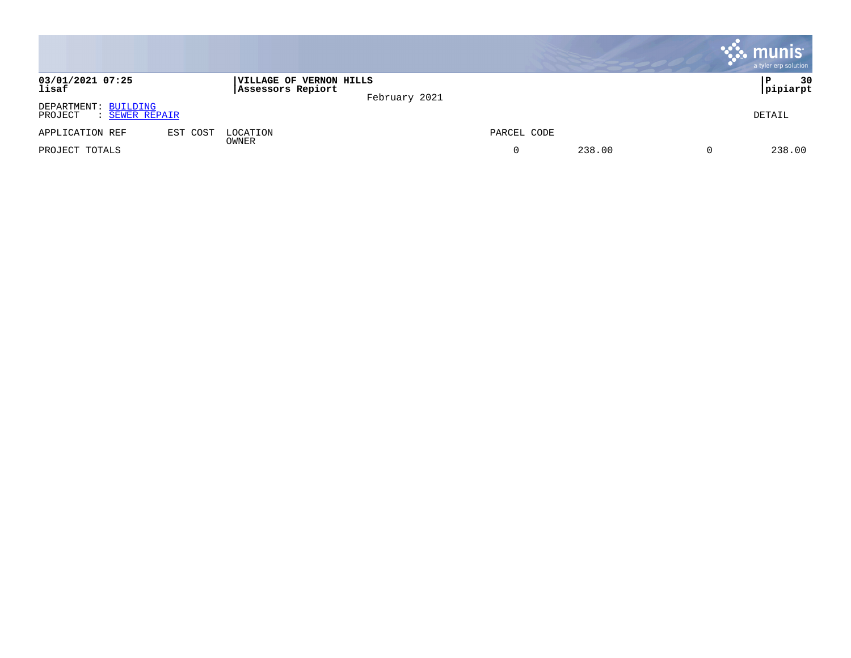|                                                   |          |                                              |               |             |        | <b>munis</b><br>a tyler erp solution |
|---------------------------------------------------|----------|----------------------------------------------|---------------|-------------|--------|--------------------------------------|
| 03/01/2021 07:25<br>lisaf                         |          | VILLAGE OF VERNON HILLS<br>Assessors Repiort | February 2021 |             |        | 30<br>P<br> pipiarpt                 |
| DEPARTMENT: BUILDING<br>PROJECT<br>: SEWER REPAIR |          |                                              |               |             |        | DETAIL                               |
| APPLICATION REF                                   | EST COST | LOCATION                                     |               | PARCEL CODE |        |                                      |
| PROJECT TOTALS                                    |          | OWNER                                        |               | 0           | 238.00 | 238.00                               |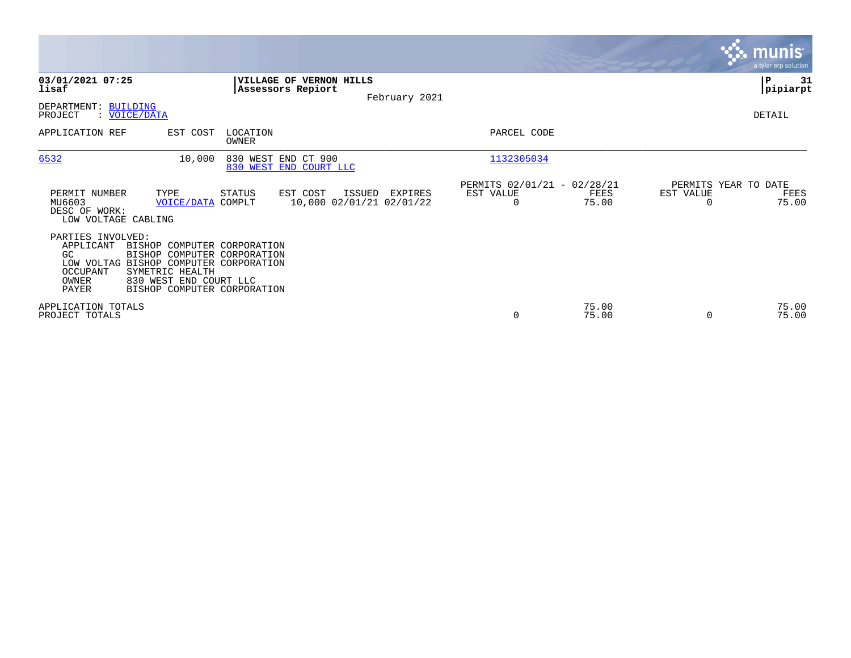|                                                                                                                                        |                                                                                                                     |                                                     |               |                                                      |                |           | <b>munis</b><br>a tyler erp solution  |
|----------------------------------------------------------------------------------------------------------------------------------------|---------------------------------------------------------------------------------------------------------------------|-----------------------------------------------------|---------------|------------------------------------------------------|----------------|-----------|---------------------------------------|
| 03/01/2021 07:25<br>lisaf                                                                                                              |                                                                                                                     | <b>VILLAGE OF VERNON HILLS</b><br>Assessors Repiort | February 2021 |                                                      |                |           | ∣₽<br>31<br> pipiarpt                 |
| DEPARTMENT: BUILDING<br>PROJECT<br>: VOICE/DATA                                                                                        |                                                                                                                     |                                                     |               |                                                      |                |           | DETAIL                                |
| APPLICATION REF                                                                                                                        | LOCATION<br>EST COST<br>OWNER                                                                                       |                                                     |               | PARCEL CODE                                          |                |           |                                       |
| 6532                                                                                                                                   | 10,000                                                                                                              | 830 WEST END CT 900<br>830 WEST END COURT LLC       |               | 1132305034                                           |                |           |                                       |
| PERMIT NUMBER<br>TYPE<br>MU6603<br>DESC OF WORK:<br>LOW VOLTAGE CABLING                                                                | STATUS<br>VOICE/DATA COMPLT                                                                                         | EST COST<br>ISSUED<br>10,000 02/01/21 02/01/22      | EXPIRES       | PERMITS 02/01/21 - 02/28/21<br>EST VALUE<br>$\Omega$ | FEES<br>75.00  | EST VALUE | PERMITS YEAR TO DATE<br>FEES<br>75.00 |
| PARTIES INVOLVED:<br>APPLICANT<br>GC<br>LOW VOLTAG BISHOP COMPUTER CORPORATION<br>SYMETRIC HEALTH<br>OCCUPANT<br>OWNER<br><b>PAYER</b> | BISHOP COMPUTER CORPORATION<br>BISHOP COMPUTER CORPORATION<br>830 WEST END COURT LLC<br>BISHOP COMPUTER CORPORATION |                                                     |               |                                                      |                |           |                                       |
| APPLICATION TOTALS<br>PROJECT TOTALS                                                                                                   |                                                                                                                     |                                                     |               | 0                                                    | 75.00<br>75.00 | 0         | 75.00<br>75.00                        |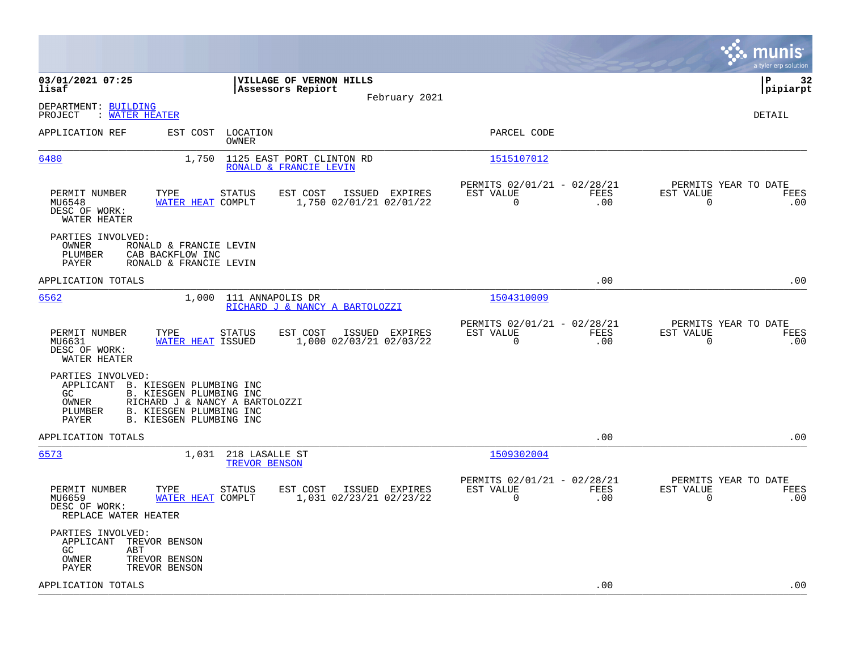|                                                                                                                                                                                                              |                                                                        | munis<br>a tyler erp solution                                      |
|--------------------------------------------------------------------------------------------------------------------------------------------------------------------------------------------------------------|------------------------------------------------------------------------|--------------------------------------------------------------------|
| 03/01/2021 07:25<br>VILLAGE OF VERNON HILLS<br>lisaf<br>Assessors Repiort                                                                                                                                    |                                                                        | l P<br>32<br> pipiarpt                                             |
| February 2021<br>DEPARTMENT: BUILDING                                                                                                                                                                        |                                                                        |                                                                    |
| PROJECT<br>: WATER HEATER                                                                                                                                                                                    |                                                                        | DETAIL                                                             |
| APPLICATION REF<br>EST COST LOCATION<br>OWNER                                                                                                                                                                | PARCEL CODE                                                            |                                                                    |
| 6480<br>1,750<br>1125 EAST PORT CLINTON RD<br>RONALD & FRANCIE LEVIN                                                                                                                                         | 1515107012                                                             |                                                                    |
| PERMIT NUMBER<br>TYPE<br>EST COST<br>ISSUED EXPIRES<br>STATUS<br>MU6548<br>WATER HEAT COMPLT<br>1,750 02/01/21 02/01/22<br>DESC OF WORK:<br>WATER HEATER                                                     | PERMITS 02/01/21 - 02/28/21<br>EST VALUE<br>FEES<br>$\mathbf 0$<br>.00 | PERMITS YEAR TO DATE<br>EST VALUE<br>FEES<br>$\overline{0}$<br>.00 |
| PARTIES INVOLVED:<br>OWNER<br>RONALD & FRANCIE LEVIN<br>PLUMBER<br>CAB BACKFLOW INC<br>PAYER<br>RONALD & FRANCIE LEVIN                                                                                       |                                                                        |                                                                    |
| APPLICATION TOTALS                                                                                                                                                                                           | .00                                                                    | .00                                                                |
| 6562<br>1,000<br>111 ANNAPOLIS DR<br>RICHARD J & NANCY A BARTOLOZZI                                                                                                                                          | 1504310009                                                             |                                                                    |
| EST COST<br>PERMIT NUMBER<br>TYPE<br><b>STATUS</b><br>ISSUED EXPIRES<br>1,000 02/03/21 02/03/22<br>MU6631<br>WATER HEAT ISSUED<br>DESC OF WORK:<br>WATER HEATER                                              | PERMITS 02/01/21 - 02/28/21<br>FEES<br>EST VALUE<br>$\mathbf 0$<br>.00 | PERMITS YEAR TO DATE<br>EST VALUE<br>FEES<br>$\mathbf 0$<br>.00    |
| PARTIES INVOLVED:<br>APPLICANT B. KIESGEN PLUMBING INC<br>GC<br>B. KIESGEN PLUMBING INC<br>OWNER<br>RICHARD J & NANCY A BARTOLOZZI<br>B. KIESGEN PLUMBING INC<br>PLUMBER<br>PAYER<br>B. KIESGEN PLUMBING INC |                                                                        |                                                                    |
| APPLICATION TOTALS                                                                                                                                                                                           | .00                                                                    | .00                                                                |
| 6573<br>1,031 218 LASALLE ST<br>TREVOR BENSON                                                                                                                                                                | 1509302004                                                             |                                                                    |
| EST COST<br>ISSUED EXPIRES<br>PERMIT NUMBER<br>TYPE<br><b>STATUS</b><br>MU6659<br>WATER HEAT COMPLT<br>1,031 02/23/21 02/23/22<br>DESC OF WORK:<br>REPLACE WATER HEATER                                      | PERMITS 02/01/21 - 02/28/21<br>EST VALUE<br>FEES<br>0<br>.00           | PERMITS YEAR TO DATE<br>EST VALUE<br>FEES<br>0<br>.00              |
| PARTIES INVOLVED:<br>TREVOR BENSON<br>APPLICANT<br>GC.<br>ABT<br>OWNER<br>TREVOR BENSON<br>PAYER<br>TREVOR BENSON                                                                                            |                                                                        |                                                                    |
| APPLICATION TOTALS                                                                                                                                                                                           | .00                                                                    | .00                                                                |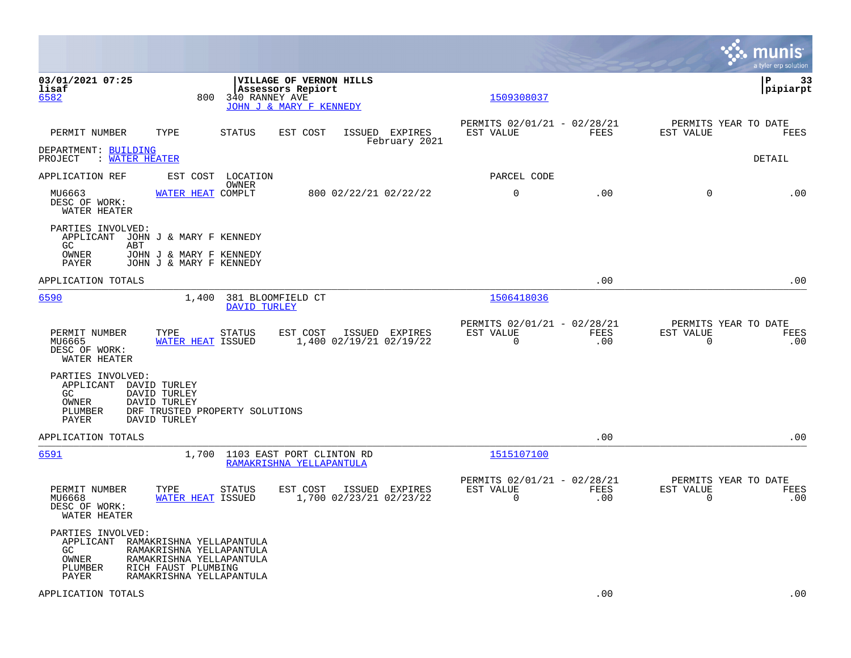|                                                                     |                                                                                                                                     |                   |                                                                         |                                           |                                                         |             |                             | munis<br>a tyler erp solution       |
|---------------------------------------------------------------------|-------------------------------------------------------------------------------------------------------------------------------------|-------------------|-------------------------------------------------------------------------|-------------------------------------------|---------------------------------------------------------|-------------|-----------------------------|-------------------------------------|
| 03/01/2021 07:25<br>lisaf<br>6582                                   | 800                                                                                                                                 | 340 RANNEY AVE    | VILLAGE OF VERNON HILLS<br>Assessors Repiort<br>JOHN J & MARY F KENNEDY |                                           | 1509308037                                              |             |                             | ${\bf P}$<br>33<br> pipiarpt        |
| PERMIT NUMBER                                                       | TYPE                                                                                                                                | STATUS            | EST COST                                                                | ISSUED EXPIRES<br>February 2021           | PERMITS 02/01/21 - 02/28/21<br>EST VALUE                | FEES        | EST VALUE                   | PERMITS YEAR TO DATE<br>FEES        |
| DEPARTMENT: BUILDING<br>PROJECT<br>: WATER HEATER                   |                                                                                                                                     |                   |                                                                         |                                           |                                                         |             |                             | DETAIL                              |
| APPLICATION REF                                                     | EST COST                                                                                                                            | LOCATION<br>OWNER |                                                                         |                                           | PARCEL CODE                                             |             |                             |                                     |
| MU6663<br>DESC OF WORK:<br>WATER HEATER                             | WATER HEAT COMPLT                                                                                                                   |                   |                                                                         | 800 02/22/21 02/22/22                     | 0                                                       | .00         | $\mathbf 0$                 | .00                                 |
| PARTIES INVOLVED:<br>APPLICANT JOHN J & MARY F KENNEDY<br>GC<br>ABT |                                                                                                                                     |                   |                                                                         |                                           |                                                         |             |                             |                                     |
| OWNER<br>PAYER                                                      | JOHN J & MARY F KENNEDY<br>JOHN J & MARY F KENNEDY                                                                                  |                   |                                                                         |                                           |                                                         |             |                             |                                     |
| APPLICATION TOTALS                                                  |                                                                                                                                     |                   |                                                                         |                                           |                                                         | .00         |                             | .00                                 |
| 6590                                                                | 1,400                                                                                                                               | DAVID TURLEY      | 381 BLOOMFIELD CT                                                       |                                           | 1506418036                                              |             |                             |                                     |
| PERMIT NUMBER<br>MU6665<br>DESC OF WORK:<br>WATER HEATER            | TYPE<br>WATER HEAT ISSUED                                                                                                           | <b>STATUS</b>     | EST COST                                                                | ISSUED EXPIRES<br>1,400 02/19/21 02/19/22 | PERMITS 02/01/21 - 02/28/21<br>EST VALUE<br>$\mathbf 0$ | FEES<br>.00 | EST VALUE<br>$\overline{0}$ | PERMITS YEAR TO DATE<br>FEES<br>.00 |
| PARTIES INVOLVED:<br>APPLICANT<br>GC.<br>OWNER<br>PLUMBER<br>PAYER  | DAVID TURLEY<br>DAVID TURLEY<br>DAVID TURLEY<br>DRF TRUSTED PROPERTY SOLUTIONS<br>DAVID TURLEY                                      |                   |                                                                         |                                           |                                                         |             |                             |                                     |
| APPLICATION TOTALS                                                  |                                                                                                                                     |                   |                                                                         |                                           |                                                         | .00         |                             | .00                                 |
| 6591                                                                |                                                                                                                                     |                   | 1,700 1103 EAST PORT CLINTON RD<br>RAMAKRISHNA YELLAPANTULA             |                                           | 1515107100                                              |             |                             |                                     |
| PERMIT NUMBER<br>MU6668<br>DESC OF WORK:<br>WATER HEATER            | TYPE<br>WATER HEAT ISSUED                                                                                                           | <b>STATUS</b>     | EST COST                                                                | ISSUED EXPIRES<br>1,700 02/23/21 02/23/22 | PERMITS 02/01/21 - 02/28/21<br>EST VALUE<br>0           | FEES<br>.00 | EST VALUE<br>$\overline{0}$ | PERMITS YEAR TO DATE<br>FEES<br>.00 |
| PARTIES INVOLVED:<br>APPLICANT<br>GC.<br>OWNER<br>PLUMBER<br>PAYER  | RAMAKRISHNA YELLAPANTULA<br>RAMAKRISHNA YELLAPANTULA<br>RAMAKRISHNA YELLAPANTULA<br>RICH FAUST PLUMBING<br>RAMAKRISHNA YELLAPANTULA |                   |                                                                         |                                           |                                                         |             |                             |                                     |
| APPLICATION TOTALS                                                  |                                                                                                                                     |                   |                                                                         |                                           |                                                         | .00         |                             | .00                                 |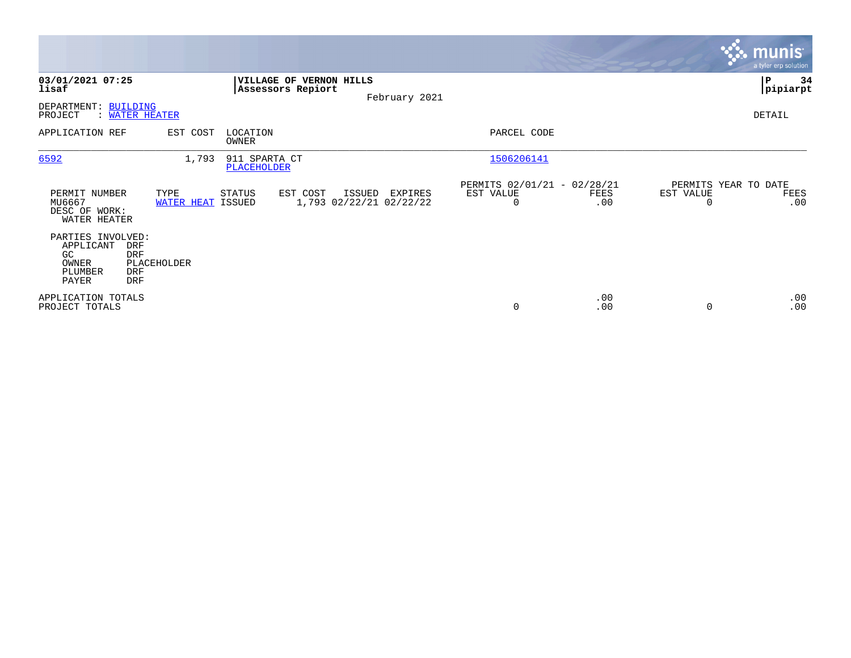|                                                                                                                            |                           |                              |                                              |                                              |                                                      |             |                                        | <b>munis</b><br>a tyler erp solution |
|----------------------------------------------------------------------------------------------------------------------------|---------------------------|------------------------------|----------------------------------------------|----------------------------------------------|------------------------------------------------------|-------------|----------------------------------------|--------------------------------------|
| 03/01/2021 07:25<br>lisaf                                                                                                  |                           |                              | VILLAGE OF VERNON HILLS<br>Assessors Repiort | February 2021                                |                                                      |             |                                        | lР<br>34<br> pipiarpt                |
| DEPARTMENT: BUILDING<br>PROJECT<br><b>WATER HEATER</b>                                                                     |                           |                              |                                              |                                              |                                                      |             |                                        | DETAIL                               |
| APPLICATION REF                                                                                                            | EST COST                  | LOCATION<br>OWNER            |                                              |                                              | PARCEL CODE                                          |             |                                        |                                      |
| 6592                                                                                                                       | 1,793                     | 911 SPARTA CT<br>PLACEHOLDER |                                              |                                              | 1506206141                                           |             |                                        |                                      |
| PERMIT NUMBER<br>MU6667<br>DESC OF WORK:<br>WATER HEATER                                                                   | TYPE<br>WATER HEAT ISSUED | STATUS                       | EST COST                                     | ISSUED<br>EXPIRES<br>1,793 02/22/21 02/22/22 | PERMITS 02/01/21 - 02/28/21<br>EST VALUE<br>$\Omega$ | FEES<br>.00 | PERMITS YEAR TO DATE<br>EST VALUE<br>O | FEES<br>.00                          |
| PARTIES INVOLVED:<br>APPLICANT<br><b>DRF</b><br><b>DRF</b><br>GC.<br>OWNER<br>PLUMBER<br><b>DRF</b><br>PAYER<br><b>DRF</b> | PLACEHOLDER               |                              |                                              |                                              |                                                      |             |                                        |                                      |
| APPLICATION TOTALS<br>PROJECT TOTALS                                                                                       |                           |                              |                                              |                                              | 0                                                    | .00<br>.00  |                                        | .00<br>.00                           |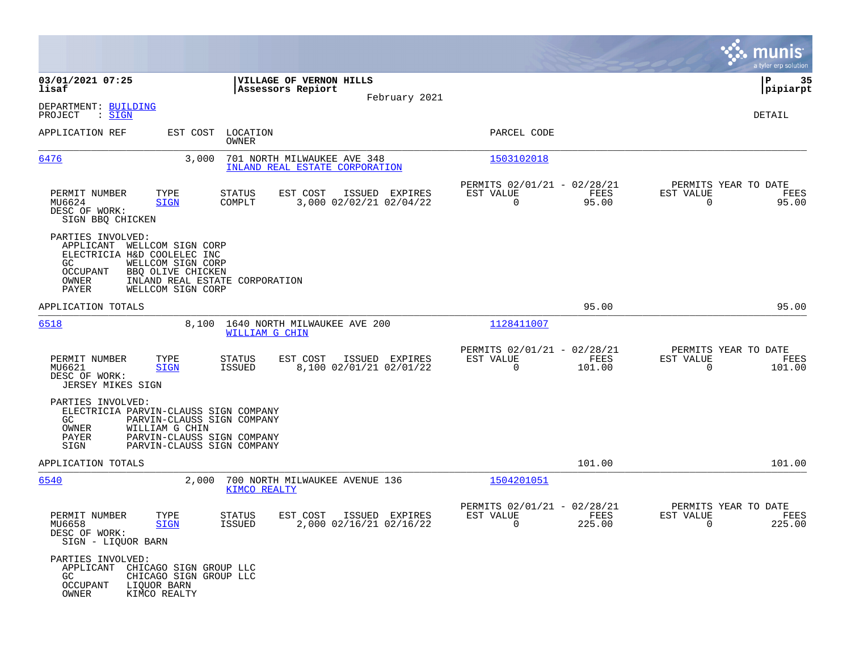|                                                                                                                         |                                                                                               |                                                               |                                           |                                                                      |                |                                                               | munis<br>a tyler erp solution |
|-------------------------------------------------------------------------------------------------------------------------|-----------------------------------------------------------------------------------------------|---------------------------------------------------------------|-------------------------------------------|----------------------------------------------------------------------|----------------|---------------------------------------------------------------|-------------------------------|
| 03/01/2021 07:25<br>lisaf                                                                                               |                                                                                               | VILLAGE OF VERNON HILLS<br>Assessors Repiort                  |                                           |                                                                      |                |                                                               | ΙP<br>35<br> pipiarpt         |
| DEPARTMENT: BUILDING<br>: <u>SIGN</u><br>PROJECT                                                                        |                                                                                               |                                                               | February 2021                             |                                                                      |                |                                                               | DETAIL                        |
| APPLICATION REF                                                                                                         | EST COST LOCATION<br>OWNER                                                                    |                                                               |                                           | PARCEL CODE                                                          |                |                                                               |                               |
| 6476                                                                                                                    | 3.000                                                                                         | 701 NORTH MILWAUKEE AVE 348<br>INLAND REAL ESTATE CORPORATION |                                           | 1503102018                                                           |                |                                                               |                               |
| TYPE<br>PERMIT NUMBER<br>MU6624<br><b>SIGN</b><br>DESC OF WORK:<br>SIGN BBQ CHICKEN                                     | STATUS<br>COMPLT                                                                              | EST COST                                                      | ISSUED EXPIRES<br>3,000 02/02/21 02/04/22 | PERMITS 02/01/21 - 02/28/21<br>EST VALUE<br>$\overline{0}$           | FEES<br>95.00  | PERMITS YEAR TO DATE<br>EST VALUE<br>$\Omega$                 | FEES<br>95.00                 |
| PARTIES INVOLVED:<br>APPLICANT<br>WELLCOM SIGN CORP<br>ELECTRICIA H&D COOLELEC INC<br>GC.<br>OCCUPANT<br>OWNER<br>PAYER | WELLCOM SIGN CORP<br>BBQ OLIVE CHICKEN<br>INLAND REAL ESTATE CORPORATION<br>WELLCOM SIGN CORP |                                                               |                                           |                                                                      |                |                                                               |                               |
| APPLICATION TOTALS                                                                                                      |                                                                                               |                                                               |                                           |                                                                      | 95.00          |                                                               | 95.00                         |
| 6518                                                                                                                    | 8,100 1640 NORTH MILWAUKEE AVE 200<br>WILLIAM G CHIN                                          |                                                               |                                           | 1128411007                                                           |                |                                                               |                               |
| PERMIT NUMBER<br>TYPE<br>MU6621<br><b>SIGN</b><br>DESC OF WORK:<br>JERSEY MIKES SIGN                                    | STATUS<br>ISSUED                                                                              | EST COST                                                      | ISSUED EXPIRES<br>8,100 02/01/21 02/01/22 | PERMITS 02/01/21 - 02/28/21<br>EST VALUE<br>$\mathbf 0$              | FEES<br>101.00 | PERMITS YEAR TO DATE<br>EST VALUE<br>0                        | FEES<br>101.00                |
| PARTIES INVOLVED:<br>ELECTRICIA PARVIN-CLAUSS SIGN COMPANY<br>GC<br>OWNER<br>WILLIAM G CHIN<br>PAYER<br>SIGN            | PARVIN-CLAUSS SIGN COMPANY<br>PARVIN-CLAUSS SIGN COMPANY<br>PARVIN-CLAUSS SIGN COMPANY        |                                                               |                                           |                                                                      |                |                                                               |                               |
| APPLICATION TOTALS                                                                                                      |                                                                                               |                                                               |                                           |                                                                      | 101.00         |                                                               | 101.00                        |
| <u>6540</u>                                                                                                             | 2,000<br><b>KIMCO REALTY</b>                                                                  | 700 NORTH MILWAUKEE AVENUE 136                                |                                           | 1504201051                                                           |                |                                                               |                               |
| PERMIT NUMBER<br>TYPE<br>MU6658<br><b>SIGN</b><br>DESC OF WORK:<br>SIGN - LIQUOR BARN                                   | <b>STATUS</b><br>ISSUED                                                                       | EST COST                                                      | ISSUED EXPIRES<br>2,000 02/16/21 02/16/22 | PERMITS 02/01/21 - 02/28/21<br>EST VALUE<br>$\overline{\phantom{0}}$ | FEES<br>225.00 | PERMITS YEAR TO DATE<br>EST VALUE<br>$\overline{\phantom{0}}$ | FEES<br>225.00                |
| PARTIES INVOLVED:<br>APPLICANT<br>GC<br><b>OCCUPANT</b><br>LIQUOR BARN<br>OWNER<br>KIMCO REALTY                         | CHICAGO SIGN GROUP LLC<br>CHICAGO SIGN GROUP LLC                                              |                                                               |                                           |                                                                      |                |                                                               |                               |